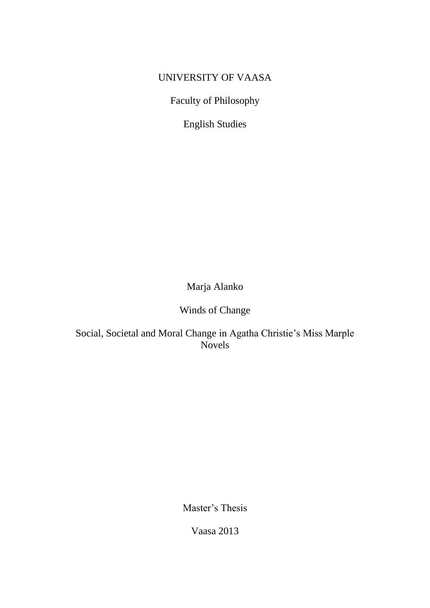# UNIVERSITY OF VAASA

Faculty of Philosophy

English Studies

Marja Alanko

Winds of Change

Social, Societal and Moral Change in Agatha Christie's Miss Marple Novels

Master's Thesis

Vaasa 2013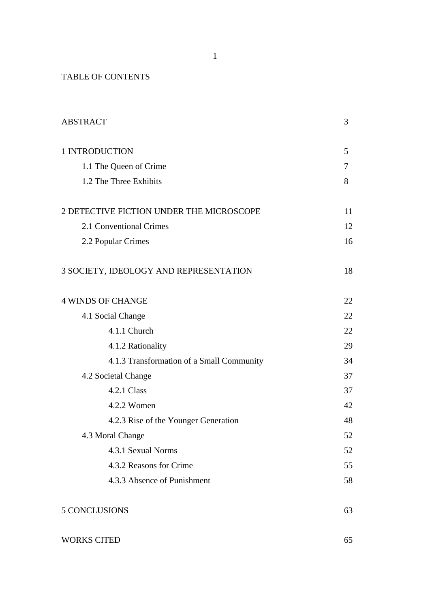TABLE OF CONTENTS

| <b>ABSTRACT</b>                           | 3  |
|-------------------------------------------|----|
| 1 INTRODUCTION                            | 5  |
| 1.1 The Queen of Crime                    | 7  |
| 1.2 The Three Exhibits                    | 8  |
| 2 DETECTIVE FICTION UNDER THE MICROSCOPE  | 11 |
| 2.1 Conventional Crimes                   |    |
| 2.2 Popular Crimes                        | 16 |
| 3 SOCIETY, IDEOLOGY AND REPRESENTATION    | 18 |
| <b>4 WINDS OF CHANGE</b>                  | 22 |
| 4.1 Social Change                         | 22 |
| 4.1.1 Church                              | 22 |
| 4.1.2 Rationality                         | 29 |
| 4.1.3 Transformation of a Small Community | 34 |
| 4.2 Societal Change                       |    |
| 4.2.1 Class                               | 37 |
| 4.2.2 Women                               | 42 |
| 4.2.3 Rise of the Younger Generation      | 48 |
| 4.3 Moral Change                          | 52 |
| 4.3.1 Sexual Norms                        | 52 |
| 4.3.2 Reasons for Crime                   | 55 |
| 4.3.3 Absence of Punishment               | 58 |
| 5 CONCLUSIONS                             | 63 |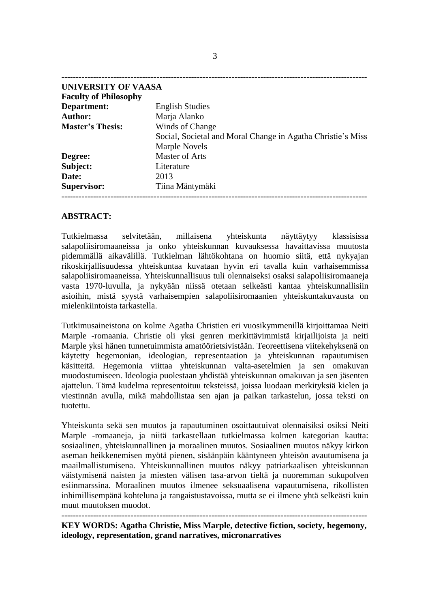| UNIVERSITY OF VAASA          |                                                             |
|------------------------------|-------------------------------------------------------------|
| <b>Faculty of Philosophy</b> |                                                             |
| Department:                  | <b>English Studies</b>                                      |
| <b>Author:</b>               | Marja Alanko                                                |
| <b>Master's Thesis:</b>      | Winds of Change                                             |
|                              | Social, Societal and Moral Change in Agatha Christie's Miss |
|                              | Marple Novels                                               |
| Degree:                      | <b>Master of Arts</b>                                       |
| Subject:                     | Literature                                                  |
| Date:                        | 2013                                                        |
| <b>Supervisor:</b>           | Tiina Mäntymäki                                             |
|                              |                                                             |

# **ABSTRACT:**

Tutkielmassa selvitetään, millaisena yhteiskunta näyttäytyy klassisissa salapoliisiromaaneissa ja onko yhteiskunnan kuvauksessa havaittavissa muutosta pidemmällä aikavälillä. Tutkielman lähtökohtana on huomio siitä, että nykyajan rikoskirjallisuudessa yhteiskuntaa kuvataan hyvin eri tavalla kuin varhaisemmissa salapoliisiromaaneissa. Yhteiskunnallisuus tuli olennaiseksi osaksi salapoliisiromaaneja vasta 1970-luvulla, ja nykyään niissä otetaan selkeästi kantaa yhteiskunnallisiin asioihin, mistä syystä varhaisempien salapoliisiromaanien yhteiskuntakuvausta on mielenkiintoista tarkastella.

Tutkimusaineistona on kolme Agatha Christien eri vuosikymmenillä kirjoittamaa Neiti Marple -romaania. Christie oli yksi genren merkittävimmistä kirjailijoista ja neiti Marple yksi hänen tunnetuimmista amatöörietsivistään. Teoreettisena viitekehyksenä on käytetty hegemonian, ideologian, representaation ja yhteiskunnan rapautumisen käsitteitä. Hegemonia viittaa yhteiskunnan valta-asetelmien ja sen omakuvan muodostumiseen. Ideologia puolestaan yhdistää yhteiskunnan omakuvan ja sen jäsenten ajattelun. Tämä kudelma representoituu teksteissä, joissa luodaan merkityksiä kielen ja viestinnän avulla, mikä mahdollistaa sen ajan ja paikan tarkastelun, jossa teksti on tuotettu.

Yhteiskunta sekä sen muutos ja rapautuminen osoittautuivat olennaisiksi osiksi Neiti Marple -romaaneja, ja niitä tarkastellaan tutkielmassa kolmen kategorian kautta: sosiaalinen, yhteiskunnallinen ja moraalinen muutos. Sosiaalinen muutos näkyy kirkon aseman heikkenemisen myötä pienen, sisäänpäin kääntyneen yhteisön avautumisena ja maailmallistumisena. Yhteiskunnallinen muutos näkyy patriarkaalisen yhteiskunnan väistymisenä naisten ja miesten välisen tasa-arvon tieltä ja nuoremman sukupolven esiinmarssina. Moraalinen muutos ilmenee seksuaalisena vapautumisena, rikollisten inhimillisempänä kohteluna ja rangaistustavoissa, mutta se ei ilmene yhtä selkeästi kuin muut muutoksen muodot.

**----------------------------------------------------------------------------------------------------------**

**KEY WORDS: Agatha Christie, Miss Marple, detective fiction, society, hegemony, ideology, representation, grand narratives, micronarratives**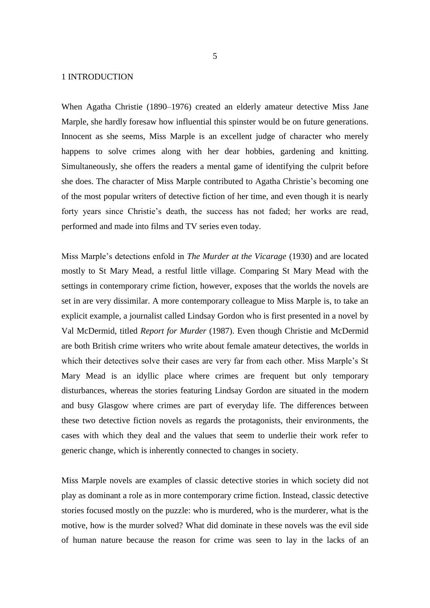## 1 INTRODUCTION

When Agatha Christie (1890–1976) created an elderly amateur detective Miss Jane Marple, she hardly foresaw how influential this spinster would be on future generations. Innocent as she seems, Miss Marple is an excellent judge of character who merely happens to solve crimes along with her dear hobbies, gardening and knitting. Simultaneously, she offers the readers a mental game of identifying the culprit before she does. The character of Miss Marple contributed to Agatha Christie's becoming one of the most popular writers of detective fiction of her time, and even though it is nearly forty years since Christie's death, the success has not faded; her works are read, performed and made into films and TV series even today.

Miss Marple's detections enfold in *The Murder at the Vicarage* (1930) and are located mostly to St Mary Mead, a restful little village. Comparing St Mary Mead with the settings in contemporary crime fiction, however, exposes that the worlds the novels are set in are very dissimilar. A more contemporary colleague to Miss Marple is, to take an explicit example, a journalist called Lindsay Gordon who is first presented in a novel by Val McDermid, titled *Report for Murder* (1987). Even though Christie and McDermid are both British crime writers who write about female amateur detectives, the worlds in which their detectives solve their cases are very far from each other. Miss Marple's St Mary Mead is an idyllic place where crimes are frequent but only temporary disturbances, whereas the stories featuring Lindsay Gordon are situated in the modern and busy Glasgow where crimes are part of everyday life. The differences between these two detective fiction novels as regards the protagonists, their environments, the cases with which they deal and the values that seem to underlie their work refer to generic change, which is inherently connected to changes in society.

Miss Marple novels are examples of classic detective stories in which society did not play as dominant a role as in more contemporary crime fiction. Instead, classic detective stories focused mostly on the puzzle: who is murdered, who is the murderer, what is the motive, how is the murder solved? What did dominate in these novels was the evil side of human nature because the reason for crime was seen to lay in the lacks of an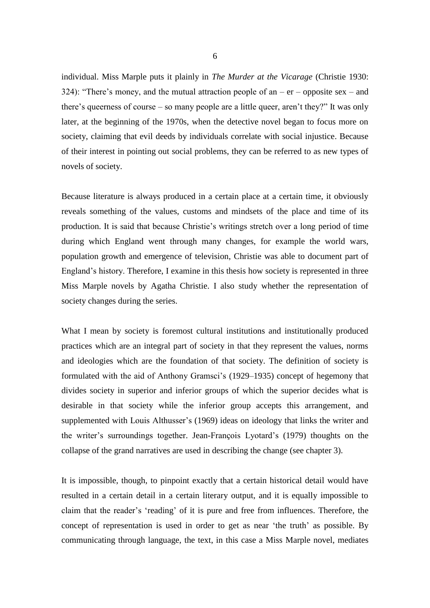individual. Miss Marple puts it plainly in *The Murder at the Vicarage* (Christie 1930: 324): "There's money, and the mutual attraction people of an  $-$  er  $-$  opposite sex  $-$  and there's queerness of course – so many people are a little queer, aren't they?" It was only later, at the beginning of the 1970s, when the detective novel began to focus more on society, claiming that evil deeds by individuals correlate with social injustice. Because of their interest in pointing out social problems, they can be referred to as new types of novels of society.

Because literature is always produced in a certain place at a certain time, it obviously reveals something of the values, customs and mindsets of the place and time of its production. It is said that because Christie's writings stretch over a long period of time during which England went through many changes, for example the world wars, population growth and emergence of television, Christie was able to document part of England's history. Therefore, I examine in this thesis how society is represented in three Miss Marple novels by Agatha Christie. I also study whether the representation of society changes during the series.

What I mean by society is foremost cultural institutions and institutionally produced practices which are an integral part of society in that they represent the values, norms and ideologies which are the foundation of that society. The definition of society is formulated with the aid of Anthony Gramsci's (1929–1935) concept of hegemony that divides society in superior and inferior groups of which the superior decides what is desirable in that society while the inferior group accepts this arrangement, and supplemented with Louis Althusser's (1969) ideas on ideology that links the writer and the writer's surroundings together. Jean-François Lyotard's (1979) thoughts on the collapse of the grand narratives are used in describing the change (see chapter 3).

It is impossible, though, to pinpoint exactly that a certain historical detail would have resulted in a certain detail in a certain literary output, and it is equally impossible to claim that the reader's 'reading' of it is pure and free from influences. Therefore, the concept of representation is used in order to get as near 'the truth' as possible. By communicating through language, the text, in this case a Miss Marple novel, mediates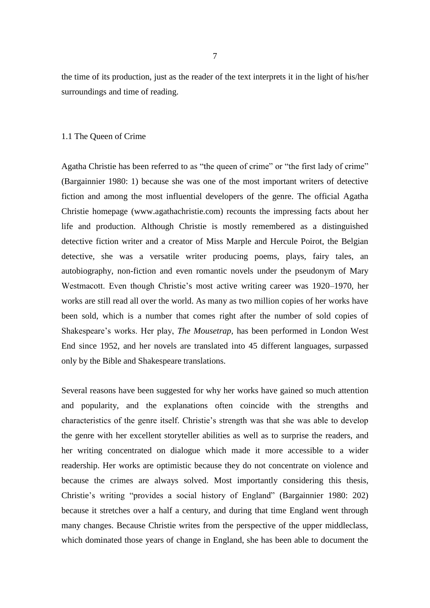the time of its production, just as the reader of the text interprets it in the light of his/her surroundings and time of reading.

#### 1.1 The Queen of Crime

Agatha Christie has been referred to as "the queen of crime" or "the first lady of crime" (Bargainnier 1980: 1) because she was one of the most important writers of detective fiction and among the most influential developers of the genre. The official Agatha Christie homepage (www.agathachristie.com) recounts the impressing facts about her life and production. Although Christie is mostly remembered as a distinguished detective fiction writer and a creator of Miss Marple and Hercule Poirot, the Belgian detective, she was a versatile writer producing poems, plays, fairy tales, an autobiography, non-fiction and even romantic novels under the pseudonym of Mary Westmacott. Even though Christie's most active writing career was 1920–1970, her works are still read all over the world. As many as two million copies of her works have been sold, which is a number that comes right after the number of sold copies of Shakespeare's works. Her play, *The Mousetrap*, has been performed in London West End since 1952, and her novels are translated into 45 different languages, surpassed only by the Bible and Shakespeare translations.

Several reasons have been suggested for why her works have gained so much attention and popularity, and the explanations often coincide with the strengths and characteristics of the genre itself. Christie's strength was that she was able to develop the genre with her excellent storyteller abilities as well as to surprise the readers, and her writing concentrated on dialogue which made it more accessible to a wider readership. Her works are optimistic because they do not concentrate on violence and because the crimes are always solved. Most importantly considering this thesis, Christie's writing "provides a social history of England" (Bargainnier 1980: 202) because it stretches over a half a century, and during that time England went through many changes. Because Christie writes from the perspective of the upper middleclass, which dominated those years of change in England, she has been able to document the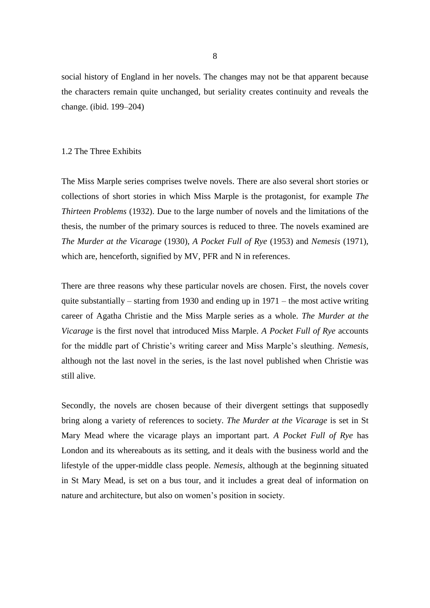social history of England in her novels. The changes may not be that apparent because the characters remain quite unchanged, but seriality creates continuity and reveals the change. (ibid. 199–204)

## 1.2 The Three Exhibits

The Miss Marple series comprises twelve novels. There are also several short stories or collections of short stories in which Miss Marple is the protagonist, for example *The Thirteen Problems* (1932). Due to the large number of novels and the limitations of the thesis, the number of the primary sources is reduced to three. The novels examined are *The Murder at the Vicarage* (1930), *A Pocket Full of Rye* (1953) and *Nemesis* (1971), which are, henceforth, signified by MV, PFR and N in references.

There are three reasons why these particular novels are chosen. First, the novels cover quite substantially – starting from 1930 and ending up in  $1971$  – the most active writing career of Agatha Christie and the Miss Marple series as a whole. *The Murder at the Vicarage* is the first novel that introduced Miss Marple. *A Pocket Full of Rye* accounts for the middle part of Christie's writing career and Miss Marple's sleuthing. *Nemesis*, although not the last novel in the series, is the last novel published when Christie was still alive.

Secondly, the novels are chosen because of their divergent settings that supposedly bring along a variety of references to society. *The Murder at the Vicarage* is set in St Mary Mead where the vicarage plays an important part. *A Pocket Full of Rye* has London and its whereabouts as its setting, and it deals with the business world and the lifestyle of the upper-middle class people. *Nemesis*, although at the beginning situated in St Mary Mead, is set on a bus tour, and it includes a great deal of information on nature and architecture, but also on women's position in society.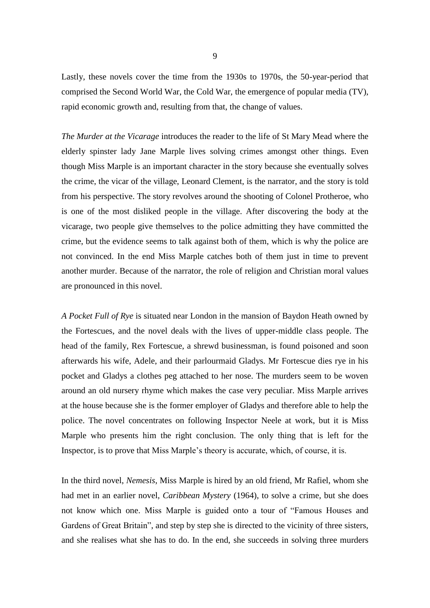Lastly, these novels cover the time from the 1930s to 1970s, the 50-year-period that comprised the Second World War, the Cold War, the emergence of popular media (TV), rapid economic growth and, resulting from that, the change of values.

*The Murder at the Vicarage* introduces the reader to the life of St Mary Mead where the elderly spinster lady Jane Marple lives solving crimes amongst other things. Even though Miss Marple is an important character in the story because she eventually solves the crime, the vicar of the village, Leonard Clement, is the narrator, and the story is told from his perspective. The story revolves around the shooting of Colonel Protheroe, who is one of the most disliked people in the village. After discovering the body at the vicarage, two people give themselves to the police admitting they have committed the crime, but the evidence seems to talk against both of them, which is why the police are not convinced. In the end Miss Marple catches both of them just in time to prevent another murder. Because of the narrator, the role of religion and Christian moral values are pronounced in this novel.

*A Pocket Full of Rye* is situated near London in the mansion of Baydon Heath owned by the Fortescues, and the novel deals with the lives of upper-middle class people. The head of the family, Rex Fortescue, a shrewd businessman, is found poisoned and soon afterwards his wife, Adele, and their parlourmaid Gladys. Mr Fortescue dies rye in his pocket and Gladys a clothes peg attached to her nose. The murders seem to be woven around an old nursery rhyme which makes the case very peculiar. Miss Marple arrives at the house because she is the former employer of Gladys and therefore able to help the police. The novel concentrates on following Inspector Neele at work, but it is Miss Marple who presents him the right conclusion. The only thing that is left for the Inspector, is to prove that Miss Marple's theory is accurate, which, of course, it is.

In the third novel, *Nemesis*, Miss Marple is hired by an old friend, Mr Rafiel, whom she had met in an earlier novel, *Caribbean Mystery* (1964), to solve a crime, but she does not know which one. Miss Marple is guided onto a tour of "Famous Houses and Gardens of Great Britain", and step by step she is directed to the vicinity of three sisters, and she realises what she has to do. In the end, she succeeds in solving three murders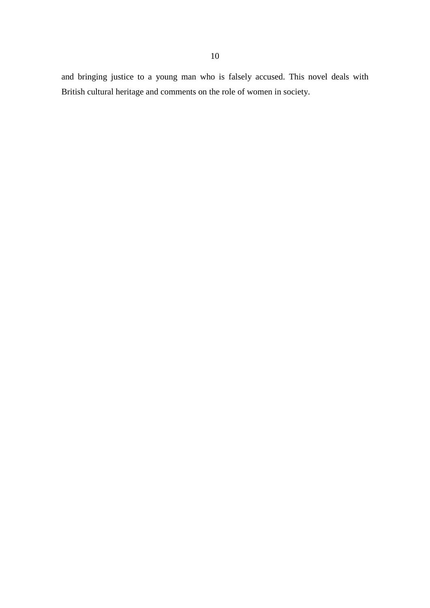and bringing justice to a young man who is falsely accused. This novel deals with British cultural heritage and comments on the role of women in society.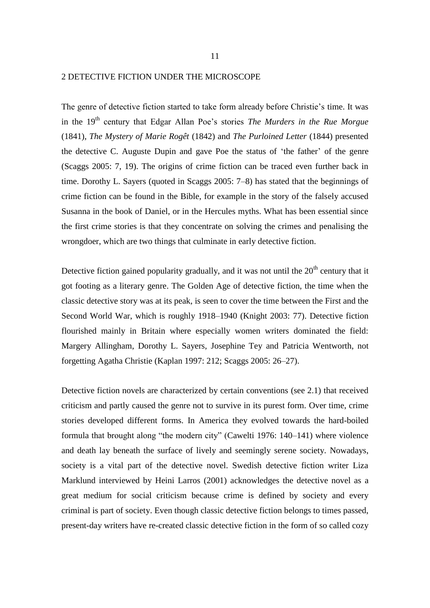# 2 DETECTIVE FICTION UNDER THE MICROSCOPE

The genre of detective fiction started to take form already before Christie's time. It was in the 19<sup>th</sup> century that Edgar Allan Poe's stories *The Murders in the Rue Morgue* (1841), *The Mystery of Marie Rogêt* (1842) and *The Purloined Letter* (1844) presented the detective C. Auguste Dupin and gave Poe the status of 'the father' of the genre (Scaggs 2005: 7, 19). The origins of crime fiction can be traced even further back in time. Dorothy L. Sayers (quoted in Scaggs 2005: 7–8) has stated that the beginnings of crime fiction can be found in the Bible, for example in the story of the falsely accused Susanna in the book of Daniel, or in the Hercules myths. What has been essential since the first crime stories is that they concentrate on solving the crimes and penalising the wrongdoer, which are two things that culminate in early detective fiction.

Detective fiction gained popularity gradually, and it was not until the  $20<sup>th</sup>$  century that it got footing as a literary genre. The Golden Age of detective fiction, the time when the classic detective story was at its peak, is seen to cover the time between the First and the Second World War, which is roughly 1918–1940 (Knight 2003: 77). Detective fiction flourished mainly in Britain where especially women writers dominated the field: Margery Allingham, Dorothy L. Sayers, Josephine Tey and Patricia Wentworth, not forgetting Agatha Christie (Kaplan 1997: 212; Scaggs 2005: 26–27).

Detective fiction novels are characterized by certain conventions (see 2.1) that received criticism and partly caused the genre not to survive in its purest form. Over time, crime stories developed different forms. In America they evolved towards the hard-boiled formula that brought along "the modern city" (Cawelti 1976: 140–141) where violence and death lay beneath the surface of lively and seemingly serene society. Nowadays, society is a vital part of the detective novel. Swedish detective fiction writer Liza Marklund interviewed by Heini Larros (2001) acknowledges the detective novel as a great medium for social criticism because crime is defined by society and every criminal is part of society. Even though classic detective fiction belongs to times passed, present-day writers have re-created classic detective fiction in the form of so called cozy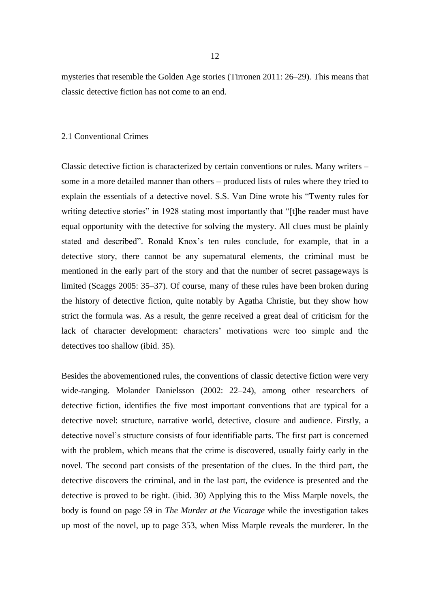mysteries that resemble the Golden Age stories (Tirronen 2011: 26–29). This means that classic detective fiction has not come to an end.

#### 2.1 Conventional Crimes

Classic detective fiction is characterized by certain conventions or rules. Many writers – some in a more detailed manner than others – produced lists of rules where they tried to explain the essentials of a detective novel. S.S. Van Dine wrote his "Twenty rules for writing detective stories" in 1928 stating most importantly that "[t]he reader must have equal opportunity with the detective for solving the mystery. All clues must be plainly stated and described". Ronald Knox's ten rules conclude, for example, that in a detective story, there cannot be any supernatural elements, the criminal must be mentioned in the early part of the story and that the number of secret passageways is limited (Scaggs 2005: 35–37). Of course, many of these rules have been broken during the history of detective fiction, quite notably by Agatha Christie, but they show how strict the formula was. As a result, the genre received a great deal of criticism for the lack of character development: characters' motivations were too simple and the detectives too shallow (ibid. 35).

Besides the abovementioned rules, the conventions of classic detective fiction were very wide-ranging. Molander Danielsson (2002: 22–24), among other researchers of detective fiction, identifies the five most important conventions that are typical for a detective novel: structure, narrative world, detective, closure and audience. Firstly, a detective novel's structure consists of four identifiable parts. The first part is concerned with the problem, which means that the crime is discovered, usually fairly early in the novel. The second part consists of the presentation of the clues. In the third part, the detective discovers the criminal, and in the last part, the evidence is presented and the detective is proved to be right. (ibid. 30) Applying this to the Miss Marple novels, the body is found on page 59 in *The Murder at the Vicarage* while the investigation takes up most of the novel, up to page 353, when Miss Marple reveals the murderer. In the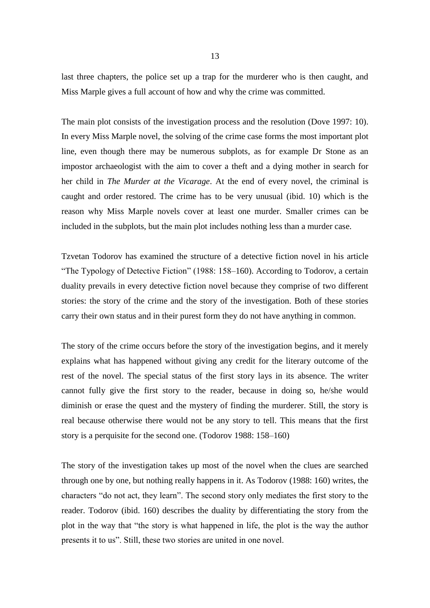last three chapters, the police set up a trap for the murderer who is then caught, and Miss Marple gives a full account of how and why the crime was committed.

The main plot consists of the investigation process and the resolution (Dove 1997: 10). In every Miss Marple novel, the solving of the crime case forms the most important plot line, even though there may be numerous subplots, as for example Dr Stone as an impostor archaeologist with the aim to cover a theft and a dying mother in search for her child in *The Murder at the Vicarage*. At the end of every novel, the criminal is caught and order restored. The crime has to be very unusual (ibid. 10) which is the reason why Miss Marple novels cover at least one murder. Smaller crimes can be included in the subplots, but the main plot includes nothing less than a murder case.

Tzvetan Todorov has examined the structure of a detective fiction novel in his article "The Typology of Detective Fiction" (1988: 158–160). According to Todorov, a certain duality prevails in every detective fiction novel because they comprise of two different stories: the story of the crime and the story of the investigation. Both of these stories carry their own status and in their purest form they do not have anything in common.

The story of the crime occurs before the story of the investigation begins, and it merely explains what has happened without giving any credit for the literary outcome of the rest of the novel. The special status of the first story lays in its absence. The writer cannot fully give the first story to the reader, because in doing so, he/she would diminish or erase the quest and the mystery of finding the murderer. Still, the story is real because otherwise there would not be any story to tell. This means that the first story is a perquisite for the second one. (Todorov 1988: 158–160)

The story of the investigation takes up most of the novel when the clues are searched through one by one, but nothing really happens in it. As Todorov (1988: 160) writes, the characters "do not act, they learn". The second story only mediates the first story to the reader. Todorov (ibid. 160) describes the duality by differentiating the story from the plot in the way that "the story is what happened in life, the plot is the way the author presents it to us". Still, these two stories are united in one novel.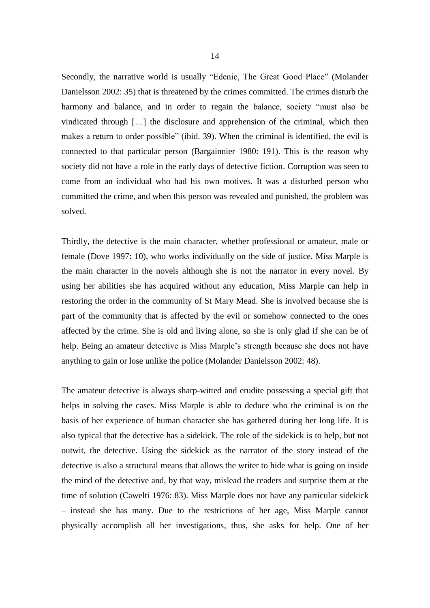Secondly, the narrative world is usually "Edenic, The Great Good Place" (Molander Danielsson 2002: 35) that is threatened by the crimes committed. The crimes disturb the harmony and balance, and in order to regain the balance, society "must also be vindicated through […] the disclosure and apprehension of the criminal, which then makes a return to order possible" (ibid. 39). When the criminal is identified, the evil is connected to that particular person (Bargainnier 1980: 191). This is the reason why society did not have a role in the early days of detective fiction. Corruption was seen to come from an individual who had his own motives. It was a disturbed person who committed the crime, and when this person was revealed and punished, the problem was solved.

Thirdly, the detective is the main character, whether professional or amateur, male or female (Dove 1997: 10), who works individually on the side of justice. Miss Marple is the main character in the novels although she is not the narrator in every novel. By using her abilities she has acquired without any education, Miss Marple can help in restoring the order in the community of St Mary Mead. She is involved because she is part of the community that is affected by the evil or somehow connected to the ones affected by the crime. She is old and living alone, so she is only glad if she can be of help. Being an amateur detective is Miss Marple's strength because she does not have anything to gain or lose unlike the police (Molander Danielsson 2002: 48).

The amateur detective is always sharp-witted and erudite possessing a special gift that helps in solving the cases. Miss Marple is able to deduce who the criminal is on the basis of her experience of human character she has gathered during her long life. It is also typical that the detective has a sidekick. The role of the sidekick is to help, but not outwit, the detective. Using the sidekick as the narrator of the story instead of the detective is also a structural means that allows the writer to hide what is going on inside the mind of the detective and, by that way, mislead the readers and surprise them at the time of solution (Cawelti 1976: 83). Miss Marple does not have any particular sidekick – instead she has many. Due to the restrictions of her age, Miss Marple cannot physically accomplish all her investigations, thus, she asks for help. One of her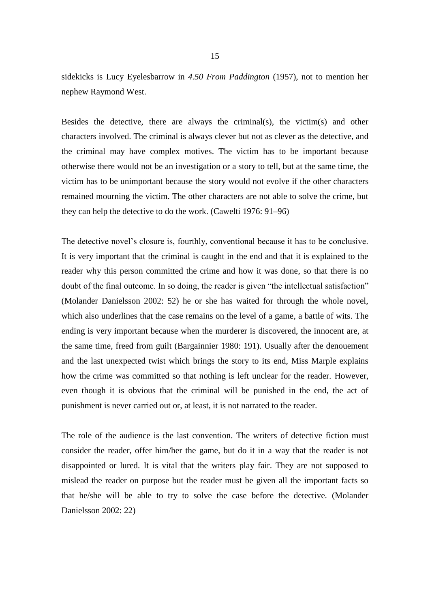sidekicks is Lucy Eyelesbarrow in *4.50 From Paddington* (1957), not to mention her nephew Raymond West.

Besides the detective, there are always the criminal(s), the victim(s) and other characters involved. The criminal is always clever but not as clever as the detective, and the criminal may have complex motives. The victim has to be important because otherwise there would not be an investigation or a story to tell, but at the same time, the victim has to be unimportant because the story would not evolve if the other characters remained mourning the victim. The other characters are not able to solve the crime, but they can help the detective to do the work. (Cawelti 1976: 91–96)

The detective novel's closure is, fourthly, conventional because it has to be conclusive. It is very important that the criminal is caught in the end and that it is explained to the reader why this person committed the crime and how it was done, so that there is no doubt of the final outcome. In so doing, the reader is given "the intellectual satisfaction" (Molander Danielsson 2002: 52) he or she has waited for through the whole novel, which also underlines that the case remains on the level of a game, a battle of wits. The ending is very important because when the murderer is discovered, the innocent are, at the same time, freed from guilt (Bargainnier 1980: 191). Usually after the denouement and the last unexpected twist which brings the story to its end, Miss Marple explains how the crime was committed so that nothing is left unclear for the reader. However, even though it is obvious that the criminal will be punished in the end, the act of punishment is never carried out or, at least, it is not narrated to the reader.

The role of the audience is the last convention. The writers of detective fiction must consider the reader, offer him/her the game, but do it in a way that the reader is not disappointed or lured. It is vital that the writers play fair. They are not supposed to mislead the reader on purpose but the reader must be given all the important facts so that he/she will be able to try to solve the case before the detective. (Molander Danielsson 2002: 22)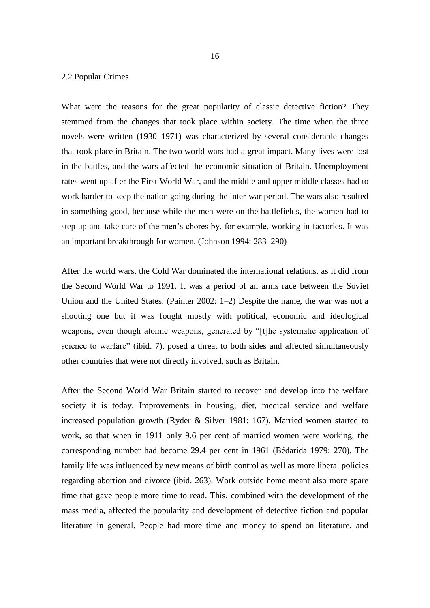## 2.2 Popular Crimes

What were the reasons for the great popularity of classic detective fiction? They stemmed from the changes that took place within society. The time when the three novels were written (1930–1971) was characterized by several considerable changes that took place in Britain. The two world wars had a great impact. Many lives were lost in the battles, and the wars affected the economic situation of Britain. Unemployment rates went up after the First World War, and the middle and upper middle classes had to work harder to keep the nation going during the inter-war period. The wars also resulted in something good, because while the men were on the battlefields, the women had to step up and take care of the men's chores by, for example, working in factories. It was an important breakthrough for women. (Johnson 1994: 283–290)

After the world wars, the Cold War dominated the international relations, as it did from the Second World War to 1991. It was a period of an arms race between the Soviet Union and the United States. (Painter 2002: 1–2) Despite the name, the war was not a shooting one but it was fought mostly with political, economic and ideological weapons, even though atomic weapons, generated by "[t]he systematic application of science to warfare" (ibid. 7), posed a threat to both sides and affected simultaneously other countries that were not directly involved, such as Britain.

After the Second World War Britain started to recover and develop into the welfare society it is today. Improvements in housing, diet, medical service and welfare increased population growth (Ryder & Silver 1981: 167). Married women started to work, so that when in 1911 only 9.6 per cent of married women were working, the corresponding number had become 29.4 per cent in 1961 (Bédarida 1979: 270). The family life was influenced by new means of birth control as well as more liberal policies regarding abortion and divorce (ibid. 263). Work outside home meant also more spare time that gave people more time to read. This, combined with the development of the mass media, affected the popularity and development of detective fiction and popular literature in general. People had more time and money to spend on literature, and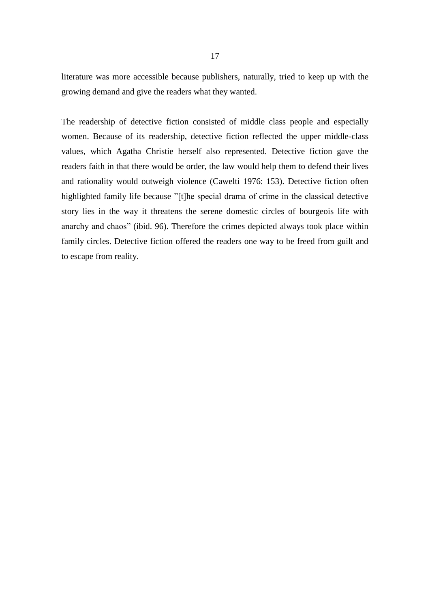literature was more accessible because publishers, naturally, tried to keep up with the growing demand and give the readers what they wanted.

The readership of detective fiction consisted of middle class people and especially women. Because of its readership, detective fiction reflected the upper middle-class values, which Agatha Christie herself also represented. Detective fiction gave the readers faith in that there would be order, the law would help them to defend their lives and rationality would outweigh violence (Cawelti 1976: 153). Detective fiction often highlighted family life because "[t]he special drama of crime in the classical detective story lies in the way it threatens the serene domestic circles of bourgeois life with anarchy and chaos" (ibid. 96). Therefore the crimes depicted always took place within family circles. Detective fiction offered the readers one way to be freed from guilt and to escape from reality.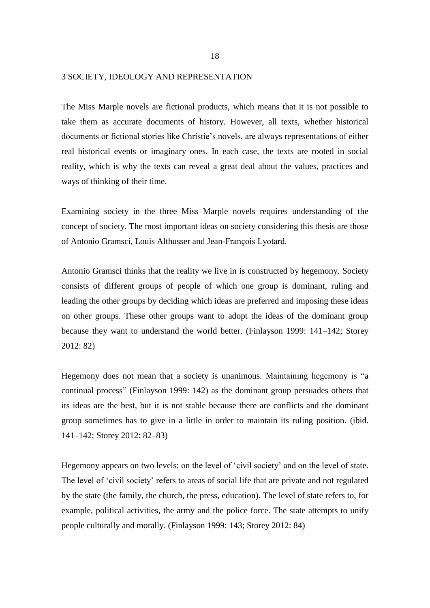#### 3 SOCIETY, IDEOLOGY AND REPRESENTATION

The Miss Marple novels are fictional products, which means that it is not possible to take them as accurate documents of history. However, all texts, whether historical documents or fictional stories like Christie's novels, are always representations of either real historical events or imaginary ones. In each case, the texts are rooted in social reality, which is why the texts can reveal a great deal about the values, practices and ways of thinking of their time.

Examining society in the three Miss Marple novels requires understanding of the concept of society. The most important ideas on society considering this thesis are those of Antonio Gramsci, Louis Althusser and Jean-François Lyotard.

Antonio Gramsci thinks that the reality we live in is constructed by hegemony. Society consists of different groups of people of which one group is dominant, ruling and leading the other groups by deciding which ideas are preferred and imposing these ideas on other groups. These other groups want to adopt the ideas of the dominant group because they want to understand the world better. (Finlayson 1999: 141–142; Storey 2012: 82)

Hegemony does not mean that a society is unanimous. Maintaining hegemony is "a continual process" (Finlayson 1999: 142) as the dominant group persuades others that its ideas are the best, but it is not stable because there are conflicts and the dominant group sometimes has to give in a little in order to maintain its ruling position. (ibid. 141–142; Storey 2012: 82–83)

Hegemony appears on two levels: on the level of 'civil society' and on the level of state. The level of 'civil society' refers to areas of social life that are private and not regulated by the state (the family, the church, the press, education). The level of state refers to, for example, political activities, the army and the police force. The state attempts to unify people culturally and morally. (Finlayson 1999: 143; Storey 2012: 84)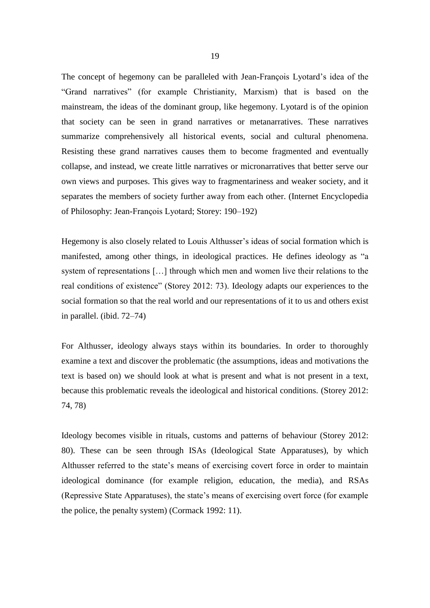The concept of hegemony can be paralleled with Jean-François Lyotard's idea of the "Grand narratives" (for example Christianity, Marxism) that is based on the mainstream, the ideas of the dominant group, like hegemony. Lyotard is of the opinion that society can be seen in grand narratives or metanarratives. These narratives summarize comprehensively all historical events, social and cultural phenomena. Resisting these grand narratives causes them to become fragmented and eventually collapse, and instead, we create little narratives or micronarratives that better serve our own views and purposes. This gives way to fragmentariness and weaker society, and it separates the members of society further away from each other. (Internet Encyclopedia of Philosophy: Jean-François Lyotard; Storey: 190–192)

Hegemony is also closely related to Louis Althusser's ideas of social formation which is manifested, among other things, in ideological practices. He defines ideology as "a system of representations […] through which men and women live their relations to the real conditions of existence" (Storey 2012: 73). Ideology adapts our experiences to the social formation so that the real world and our representations of it to us and others exist in parallel. (ibid. 72–74)

For Althusser, ideology always stays within its boundaries. In order to thoroughly examine a text and discover the problematic (the assumptions, ideas and motivations the text is based on) we should look at what is present and what is not present in a text, because this problematic reveals the ideological and historical conditions. (Storey 2012: 74, 78)

Ideology becomes visible in rituals, customs and patterns of behaviour (Storey 2012: 80). These can be seen through ISAs (Ideological State Apparatuses), by which Althusser referred to the state's means of exercising covert force in order to maintain ideological dominance (for example religion, education, the media), and RSAs (Repressive State Apparatuses), the state's means of exercising overt force (for example the police, the penalty system) (Cormack 1992: 11).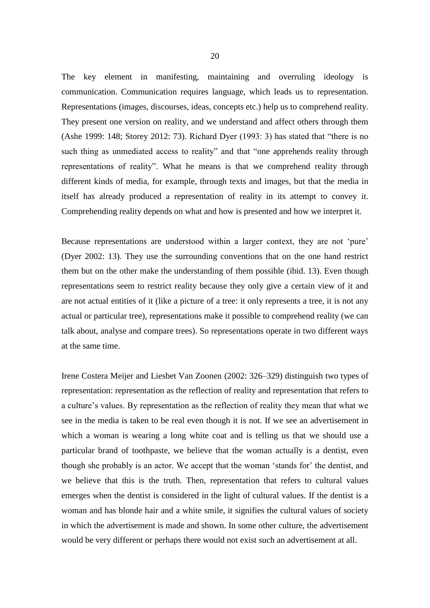The key element in manifesting, maintaining and overruling ideology is communication. Communication requires language, which leads us to representation. Representations (images, discourses, ideas, concepts etc.) help us to comprehend reality. They present one version on reality, and we understand and affect others through them (Ashe 1999: 148; Storey 2012: 73). Richard Dyer (1993: 3) has stated that "there is no such thing as unmediated access to reality" and that "one apprehends reality through representations of reality". What he means is that we comprehend reality through different kinds of media, for example, through texts and images, but that the media in itself has already produced a representation of reality in its attempt to convey it. Comprehending reality depends on what and how is presented and how we interpret it.

Because representations are understood within a larger context, they are not 'pure' (Dyer 2002: 13). They use the surrounding conventions that on the one hand restrict them but on the other make the understanding of them possible (ibid. 13). Even though representations seem to restrict reality because they only give a certain view of it and are not actual entities of it (like a picture of a tree: it only represents a tree, it is not any actual or particular tree), representations make it possible to comprehend reality (we can talk about, analyse and compare trees). So representations operate in two different ways at the same time.

Irene Costera Meijer and Liesbet Van Zoonen (2002: 326–329) distinguish two types of representation: representation as the reflection of reality and representation that refers to a culture's values. By representation as the reflection of reality they mean that what we see in the media is taken to be real even though it is not. If we see an advertisement in which a woman is wearing a long white coat and is telling us that we should use a particular brand of toothpaste, we believe that the woman actually is a dentist, even though she probably is an actor. We accept that the woman 'stands for' the dentist, and we believe that this is the truth. Then, representation that refers to cultural values emerges when the dentist is considered in the light of cultural values. If the dentist is a woman and has blonde hair and a white smile, it signifies the cultural values of society in which the advertisement is made and shown. In some other culture, the advertisement would be very different or perhaps there would not exist such an advertisement at all.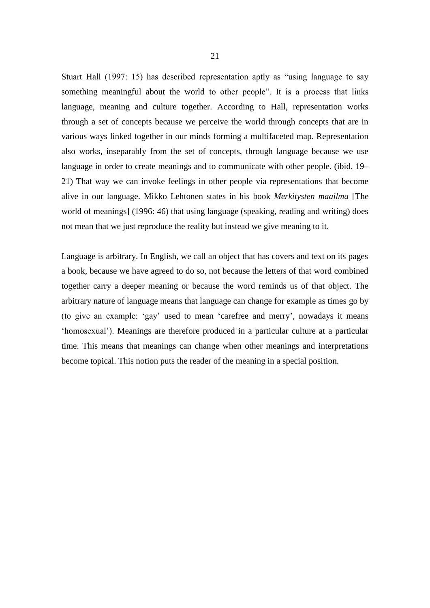Stuart Hall (1997: 15) has described representation aptly as "using language to say something meaningful about the world to other people". It is a process that links language, meaning and culture together. According to Hall, representation works through a set of concepts because we perceive the world through concepts that are in various ways linked together in our minds forming a multifaceted map. Representation also works, inseparably from the set of concepts, through language because we use language in order to create meanings and to communicate with other people. (ibid. 19– 21) That way we can invoke feelings in other people via representations that become alive in our language. Mikko Lehtonen states in his book *Merkitysten maailma* [The world of meanings] (1996: 46) that using language (speaking, reading and writing) does not mean that we just reproduce the reality but instead we give meaning to it.

Language is arbitrary. In English, we call an object that has covers and text on its pages a book, because we have agreed to do so, not because the letters of that word combined together carry a deeper meaning or because the word reminds us of that object. The arbitrary nature of language means that language can change for example as times go by (to give an example: 'gay' used to mean 'carefree and merry', nowadays it means 'homosexual'). Meanings are therefore produced in a particular culture at a particular time. This means that meanings can change when other meanings and interpretations become topical. This notion puts the reader of the meaning in a special position.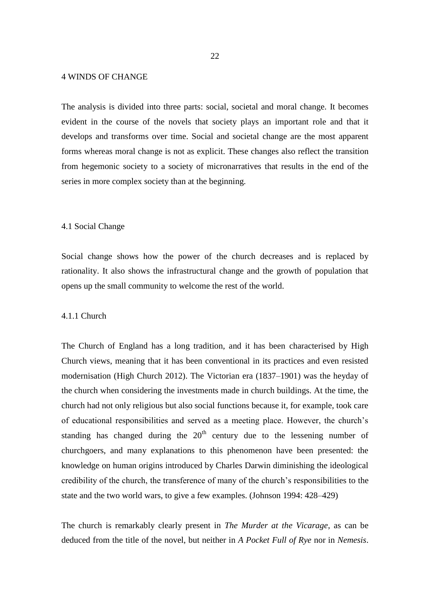## 4 WINDS OF CHANGE

The analysis is divided into three parts: social, societal and moral change. It becomes evident in the course of the novels that society plays an important role and that it develops and transforms over time. Social and societal change are the most apparent forms whereas moral change is not as explicit. These changes also reflect the transition from hegemonic society to a society of micronarratives that results in the end of the series in more complex society than at the beginning.

#### 4.1 Social Change

Social change shows how the power of the church decreases and is replaced by rationality. It also shows the infrastructural change and the growth of population that opens up the small community to welcome the rest of the world.

#### 4.1.1 Church

The Church of England has a long tradition, and it has been characterised by High Church views, meaning that it has been conventional in its practices and even resisted modernisation (High Church 2012). The Victorian era (1837–1901) was the heyday of the church when considering the investments made in church buildings. At the time, the church had not only religious but also social functions because it, for example, took care of educational responsibilities and served as a meeting place. However, the church's standing has changed during the  $20<sup>th</sup>$  century due to the lessening number of churchgoers, and many explanations to this phenomenon have been presented: the knowledge on human origins introduced by Charles Darwin diminishing the ideological credibility of the church, the transference of many of the church's responsibilities to the state and the two world wars, to give a few examples. (Johnson 1994: 428–429)

The church is remarkably clearly present in *The Murder at the Vicarage*, as can be deduced from the title of the novel, but neither in *A Pocket Full of Rye* nor in *Nemesis*.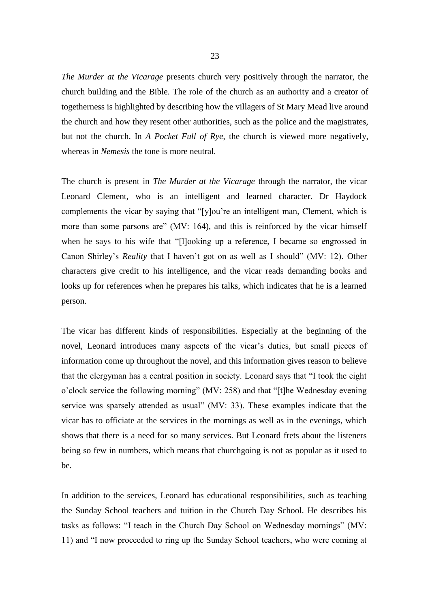*The Murder at the Vicarage* presents church very positively through the narrator, the church building and the Bible. The role of the church as an authority and a creator of togetherness is highlighted by describing how the villagers of St Mary Mead live around the church and how they resent other authorities, such as the police and the magistrates, but not the church. In *A Pocket Full of Rye*, the church is viewed more negatively, whereas in *Nemesis* the tone is more neutral.

The church is present in *The Murder at the Vicarage* through the narrator, the vicar Leonard Clement, who is an intelligent and learned character. Dr Haydock complements the vicar by saying that "[y]ou're an intelligent man, Clement, which is more than some parsons are" (MV: 164), and this is reinforced by the vicar himself when he says to his wife that "[l]ooking up a reference, I became so engrossed in Canon Shirley's *Reality* that I haven't got on as well as I should" (MV: 12). Other characters give credit to his intelligence, and the vicar reads demanding books and looks up for references when he prepares his talks, which indicates that he is a learned person.

The vicar has different kinds of responsibilities. Especially at the beginning of the novel, Leonard introduces many aspects of the vicar's duties, but small pieces of information come up throughout the novel, and this information gives reason to believe that the clergyman has a central position in society. Leonard says that "I took the eight o'clock service the following morning" (MV: 258) and that "[t]he Wednesday evening service was sparsely attended as usual" (MV: 33). These examples indicate that the vicar has to officiate at the services in the mornings as well as in the evenings, which shows that there is a need for so many services. But Leonard frets about the listeners being so few in numbers, which means that churchgoing is not as popular as it used to be.

In addition to the services, Leonard has educational responsibilities, such as teaching the Sunday School teachers and tuition in the Church Day School. He describes his tasks as follows: "I teach in the Church Day School on Wednesday mornings" (MV: 11) and "I now proceeded to ring up the Sunday School teachers, who were coming at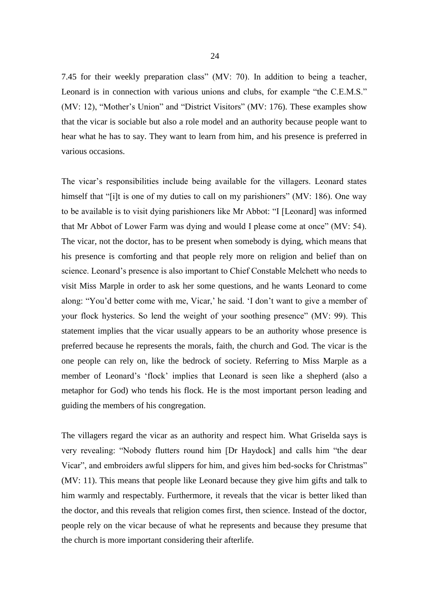7.45 for their weekly preparation class" (MV: 70). In addition to being a teacher, Leonard is in connection with various unions and clubs, for example "the C.E.M.S." (MV: 12), "Mother's Union" and "District Visitors" (MV: 176). These examples show that the vicar is sociable but also a role model and an authority because people want to hear what he has to say. They want to learn from him, and his presence is preferred in various occasions.

The vicar's responsibilities include being available for the villagers. Leonard states himself that "[i]t is one of my duties to call on my parishioners" (MV: 186). One way to be available is to visit dying parishioners like Mr Abbot: "I [Leonard] was informed that Mr Abbot of Lower Farm was dying and would I please come at once" (MV: 54). The vicar, not the doctor, has to be present when somebody is dying, which means that his presence is comforting and that people rely more on religion and belief than on science. Leonard's presence is also important to Chief Constable Melchett who needs to visit Miss Marple in order to ask her some questions, and he wants Leonard to come along: "You'd better come with me, Vicar,' he said. 'I don't want to give a member of your flock hysterics. So lend the weight of your soothing presence" (MV: 99). This statement implies that the vicar usually appears to be an authority whose presence is preferred because he represents the morals, faith, the church and God. The vicar is the one people can rely on, like the bedrock of society. Referring to Miss Marple as a member of Leonard's 'flock' implies that Leonard is seen like a shepherd (also a metaphor for God) who tends his flock. He is the most important person leading and guiding the members of his congregation.

The villagers regard the vicar as an authority and respect him. What Griselda says is very revealing: "Nobody flutters round him [Dr Haydock] and calls him "the dear Vicar", and embroiders awful slippers for him, and gives him bed-socks for Christmas" (MV: 11). This means that people like Leonard because they give him gifts and talk to him warmly and respectably. Furthermore, it reveals that the vicar is better liked than the doctor, and this reveals that religion comes first, then science. Instead of the doctor, people rely on the vicar because of what he represents and because they presume that the church is more important considering their afterlife.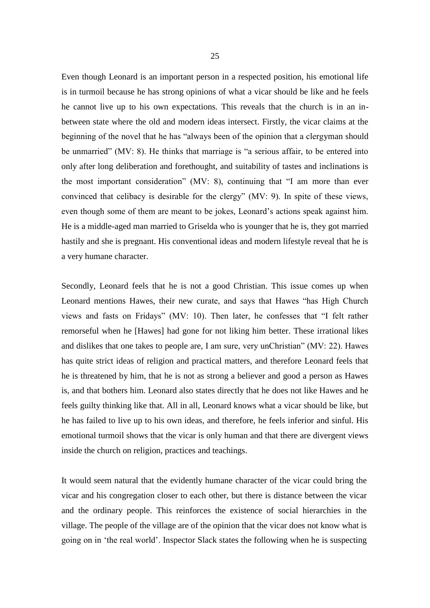Even though Leonard is an important person in a respected position, his emotional life is in turmoil because he has strong opinions of what a vicar should be like and he feels he cannot live up to his own expectations. This reveals that the church is in an inbetween state where the old and modern ideas intersect. Firstly, the vicar claims at the beginning of the novel that he has "always been of the opinion that a clergyman should be unmarried" (MV: 8). He thinks that marriage is "a serious affair, to be entered into only after long deliberation and forethought, and suitability of tastes and inclinations is the most important consideration" (MV: 8), continuing that "I am more than ever convinced that celibacy is desirable for the clergy" (MV: 9). In spite of these views, even though some of them are meant to be jokes, Leonard's actions speak against him. He is a middle-aged man married to Griselda who is younger that he is, they got married hastily and she is pregnant. His conventional ideas and modern lifestyle reveal that he is a very humane character.

Secondly, Leonard feels that he is not a good Christian. This issue comes up when Leonard mentions Hawes, their new curate, and says that Hawes "has High Church views and fasts on Fridays" (MV: 10). Then later, he confesses that "I felt rather remorseful when he [Hawes] had gone for not liking him better. These irrational likes and dislikes that one takes to people are, I am sure, very unChristian" (MV: 22). Hawes has quite strict ideas of religion and practical matters, and therefore Leonard feels that he is threatened by him, that he is not as strong a believer and good a person as Hawes is, and that bothers him. Leonard also states directly that he does not like Hawes and he feels guilty thinking like that. All in all, Leonard knows what a vicar should be like, but he has failed to live up to his own ideas, and therefore, he feels inferior and sinful. His emotional turmoil shows that the vicar is only human and that there are divergent views inside the church on religion, practices and teachings.

It would seem natural that the evidently humane character of the vicar could bring the vicar and his congregation closer to each other, but there is distance between the vicar and the ordinary people. This reinforces the existence of social hierarchies in the village. The people of the village are of the opinion that the vicar does not know what is going on in 'the real world'. Inspector Slack states the following when he is suspecting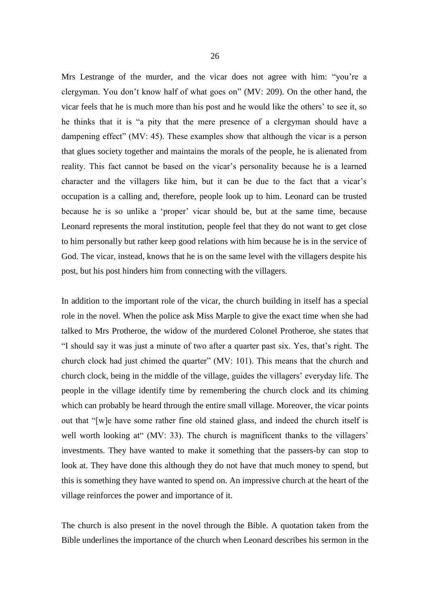Mrs Lestrange of the murder, and the vicar does not agree with him: "you're a clergyman. You don't know half of what goes on" (MV: 209). On the other hand, the vicar feels that he is much more than his post and he would like the others' to see it, so he thinks that it is "a pity that the mere presence of a clergyman should have a dampening effect" (MV: 45). These examples show that although the vicar is a person that glues society together and maintains the morals of the people, he is alienated from reality. This fact cannot be based on the vicar's personality because he is a learned character and the villagers like him, but it can be due to the fact that a vicar's occupation is a calling and, therefore, people look up to him. Leonard can be trusted because he is so unlike a 'proper' vicar should be, but at the same time, because Leonard represents the moral institution, people feel that they do not want to get close to him personally but rather keep good relations with him because he is in the service of God. The vicar, instead, knows that he is on the same level with the villagers despite his post, but his post hinders him from connecting with the villagers.

In addition to the important role of the vicar, the church building in itself has a special role in the novel. When the police ask Miss Marple to give the exact time when she had talked to Mrs Protheroe, the widow of the murdered Colonel Protheroe, she states that "I should say it was just a minute of two after a quarter past six. Yes, that's right. The church clock had just chimed the quarter" (MV: 101). This means that the church and church clock, being in the middle of the village, guides the villagers' everyday life. The people in the village identify time by remembering the church clock and its chiming which can probably be heard through the entire small village. Moreover, the vicar points out that "[w]e have some rather fine old stained glass, and indeed the church itself is well worth looking at (MV: 33). The church is magnificent thanks to the villagers' investments. They have wanted to make it something that the passers-by can stop to look at. They have done this although they do not have that much money to spend, but this is something they have wanted to spend on. An impressive church at the heart of the village reinforces the power and importance of it.

The church is also present in the novel through the Bible. A quotation taken from the Bible underlines the importance of the church when Leonard describes his sermon in the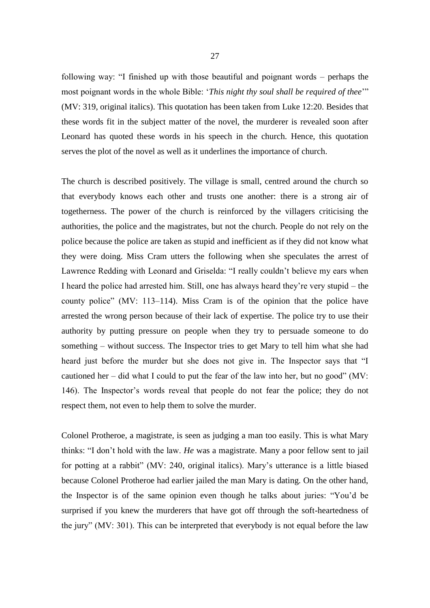following way: "I finished up with those beautiful and poignant words – perhaps the most poignant words in the whole Bible: '*This night thy soul shall be required of thee*'" (MV: 319, original italics). This quotation has been taken from Luke 12:20. Besides that these words fit in the subject matter of the novel, the murderer is revealed soon after Leonard has quoted these words in his speech in the church. Hence, this quotation serves the plot of the novel as well as it underlines the importance of church.

The church is described positively. The village is small, centred around the church so that everybody knows each other and trusts one another: there is a strong air of togetherness. The power of the church is reinforced by the villagers criticising the authorities, the police and the magistrates, but not the church. People do not rely on the police because the police are taken as stupid and inefficient as if they did not know what they were doing. Miss Cram utters the following when she speculates the arrest of Lawrence Redding with Leonard and Griselda: "I really couldn't believe my ears when I heard the police had arrested him. Still, one has always heard they're very stupid – the county police" (MV: 113–114). Miss Cram is of the opinion that the police have arrested the wrong person because of their lack of expertise. The police try to use their authority by putting pressure on people when they try to persuade someone to do something – without success. The Inspector tries to get Mary to tell him what she had heard just before the murder but she does not give in. The Inspector says that "I cautioned her – did what I could to put the fear of the law into her, but no good" (MV: 146). The Inspector's words reveal that people do not fear the police; they do not respect them, not even to help them to solve the murder.

Colonel Protheroe, a magistrate, is seen as judging a man too easily. This is what Mary thinks: "I don't hold with the law. *He* was a magistrate. Many a poor fellow sent to jail for potting at a rabbit" (MV: 240, original italics). Mary's utterance is a little biased because Colonel Protheroe had earlier jailed the man Mary is dating. On the other hand, the Inspector is of the same opinion even though he talks about juries: "You'd be surprised if you knew the murderers that have got off through the soft-heartedness of the jury" (MV: 301). This can be interpreted that everybody is not equal before the law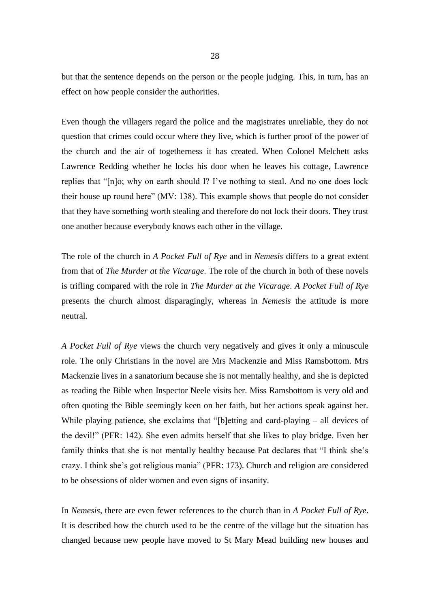but that the sentence depends on the person or the people judging. This, in turn, has an effect on how people consider the authorities.

Even though the villagers regard the police and the magistrates unreliable, they do not question that crimes could occur where they live, which is further proof of the power of the church and the air of togetherness it has created. When Colonel Melchett asks Lawrence Redding whether he locks his door when he leaves his cottage, Lawrence replies that "[n]o; why on earth should I? I've nothing to steal. And no one does lock their house up round here" (MV: 138). This example shows that people do not consider that they have something worth stealing and therefore do not lock their doors. They trust one another because everybody knows each other in the village.

The role of the church in *A Pocket Full of Rye* and in *Nemesis* differs to a great extent from that of *The Murder at the Vicarage*. The role of the church in both of these novels is trifling compared with the role in *The Murder at the Vicarage*. *A Pocket Full of Rye* presents the church almost disparagingly, whereas in *Nemesis* the attitude is more neutral.

*A Pocket Full of Rye* views the church very negatively and gives it only a minuscule role. The only Christians in the novel are Mrs Mackenzie and Miss Ramsbottom. Mrs Mackenzie lives in a sanatorium because she is not mentally healthy, and she is depicted as reading the Bible when Inspector Neele visits her. Miss Ramsbottom is very old and often quoting the Bible seemingly keen on her faith, but her actions speak against her. While playing patience, she exclaims that "[b]etting and card-playing – all devices of the devil!" (PFR: 142). She even admits herself that she likes to play bridge. Even her family thinks that she is not mentally healthy because Pat declares that "I think she's crazy. I think she's got religious mania" (PFR: 173). Church and religion are considered to be obsessions of older women and even signs of insanity.

In *Nemesis*, there are even fewer references to the church than in *A Pocket Full of Rye*. It is described how the church used to be the centre of the village but the situation has changed because new people have moved to St Mary Mead building new houses and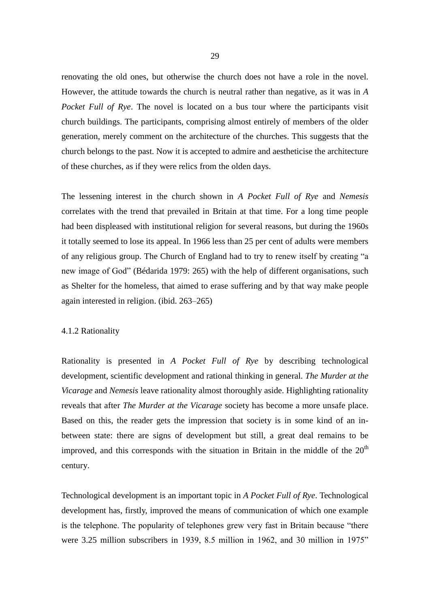renovating the old ones, but otherwise the church does not have a role in the novel. However, the attitude towards the church is neutral rather than negative, as it was in *A Pocket Full of Rye*. The novel is located on a bus tour where the participants visit church buildings. The participants, comprising almost entirely of members of the older generation, merely comment on the architecture of the churches. This suggests that the church belongs to the past. Now it is accepted to admire and aestheticise the architecture of these churches, as if they were relics from the olden days.

The lessening interest in the church shown in *A Pocket Full of Rye* and *Nemesis*  correlates with the trend that prevailed in Britain at that time. For a long time people had been displeased with institutional religion for several reasons, but during the 1960s it totally seemed to lose its appeal. In 1966 less than 25 per cent of adults were members of any religious group. The Church of England had to try to renew itself by creating "a new image of God" (Bédarida 1979: 265) with the help of different organisations, such as Shelter for the homeless, that aimed to erase suffering and by that way make people again interested in religion. (ibid. 263–265)

## 4.1.2 Rationality

Rationality is presented in *A Pocket Full of Rye* by describing technological development, scientific development and rational thinking in general. *The Murder at the Vicarage* and *Nemesis* leave rationality almost thoroughly aside. Highlighting rationality reveals that after *The Murder at the Vicarage* society has become a more unsafe place. Based on this, the reader gets the impression that society is in some kind of an inbetween state: there are signs of development but still, a great deal remains to be improved, and this corresponds with the situation in Britain in the middle of the  $20<sup>th</sup>$ century.

Technological development is an important topic in *A Pocket Full of Rye*. Technological development has, firstly, improved the means of communication of which one example is the telephone. The popularity of telephones grew very fast in Britain because "there were 3.25 million subscribers in 1939, 8.5 million in 1962, and 30 million in 1975"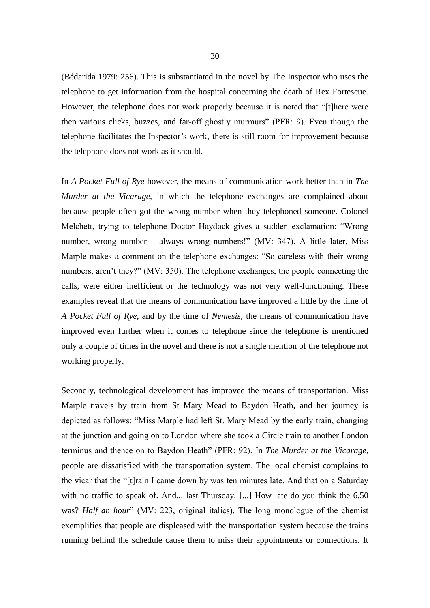(Bédarida 1979: 256). This is substantiated in the novel by The Inspector who uses the telephone to get information from the hospital concerning the death of Rex Fortescue. However, the telephone does not work properly because it is noted that "[t]here were then various clicks, buzzes, and far-off ghostly murmurs" (PFR: 9). Even though the telephone facilitates the Inspector's work, there is still room for improvement because the telephone does not work as it should.

In *A Pocket Full of Rye* however, the means of communication work better than in *The Murder at the Vicarage*, in which the telephone exchanges are complained about because people often got the wrong number when they telephoned someone. Colonel Melchett, trying to telephone Doctor Haydock gives a sudden exclamation: "Wrong number, wrong number – always wrong numbers!" (MV: 347). A little later, Miss Marple makes a comment on the telephone exchanges: "So careless with their wrong numbers, aren't they?" (MV: 350). The telephone exchanges, the people connecting the calls, were either inefficient or the technology was not very well-functioning. These examples reveal that the means of communication have improved a little by the time of *A Pocket Full of Rye*, and by the time of *Nemesis*, the means of communication have improved even further when it comes to telephone since the telephone is mentioned only a couple of times in the novel and there is not a single mention of the telephone not working properly.

Secondly, technological development has improved the means of transportation. Miss Marple travels by train from St Mary Mead to Baydon Heath, and her journey is depicted as follows: "Miss Marple had left St. Mary Mead by the early train, changing at the junction and going on to London where she took a Circle train to another London terminus and thence on to Baydon Heath" (PFR: 92). In *The Murder at the Vicarage*, people are dissatisfied with the transportation system. The local chemist complains to the vicar that the "[t]rain I came down by was ten minutes late. And that on a Saturday with no traffic to speak of. And... last Thursday. [...] How late do you think the 6.50 was? *Half an hour*" (MV: 223, original italics). The long monologue of the chemist exemplifies that people are displeased with the transportation system because the trains running behind the schedule cause them to miss their appointments or connections. It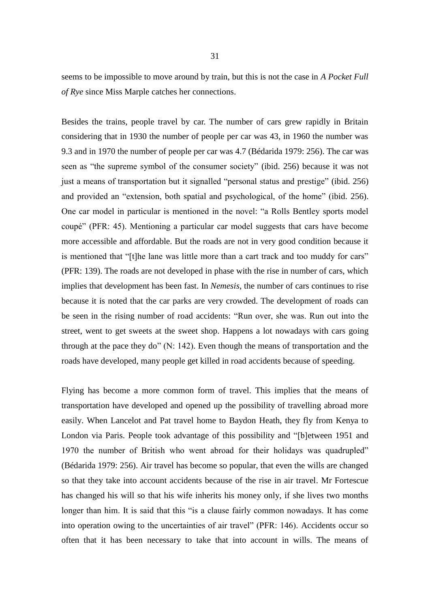seems to be impossible to move around by train, but this is not the case in *A Pocket Full of Rye* since Miss Marple catches her connections.

Besides the trains, people travel by car. The number of cars grew rapidly in Britain considering that in 1930 the number of people per car was 43, in 1960 the number was 9.3 and in 1970 the number of people per car was 4.7 (Bédarida 1979: 256). The car was seen as "the supreme symbol of the consumer society" (ibid. 256) because it was not just a means of transportation but it signalled "personal status and prestige" (ibid. 256) and provided an "extension, both spatial and psychological, of the home" (ibid. 256). One car model in particular is mentioned in the novel: "a Rolls Bentley sports model coupé" (PFR: 45). Mentioning a particular car model suggests that cars have become more accessible and affordable. But the roads are not in very good condition because it is mentioned that "[t]he lane was little more than a cart track and too muddy for cars" (PFR: 139). The roads are not developed in phase with the rise in number of cars, which implies that development has been fast. In *Nemesis*, the number of cars continues to rise because it is noted that the car parks are very crowded. The development of roads can be seen in the rising number of road accidents: "Run over, she was. Run out into the street, went to get sweets at the sweet shop. Happens a lot nowadays with cars going through at the pace they do" (N: 142). Even though the means of transportation and the roads have developed, many people get killed in road accidents because of speeding.

Flying has become a more common form of travel. This implies that the means of transportation have developed and opened up the possibility of travelling abroad more easily. When Lancelot and Pat travel home to Baydon Heath, they fly from Kenya to London via Paris. People took advantage of this possibility and "[b]etween 1951 and 1970 the number of British who went abroad for their holidays was quadrupled" (Bédarida 1979: 256). Air travel has become so popular, that even the wills are changed so that they take into account accidents because of the rise in air travel. Mr Fortescue has changed his will so that his wife inherits his money only, if she lives two months longer than him. It is said that this "is a clause fairly common nowadays. It has come into operation owing to the uncertainties of air travel" (PFR: 146). Accidents occur so often that it has been necessary to take that into account in wills. The means of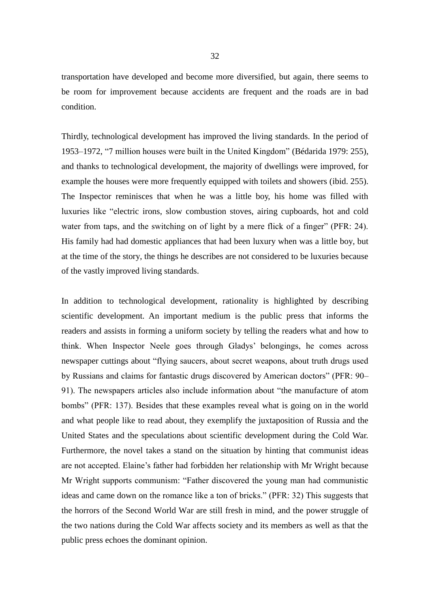transportation have developed and become more diversified, but again, there seems to be room for improvement because accidents are frequent and the roads are in bad condition.

Thirdly, technological development has improved the living standards. In the period of 1953–1972, "7 million houses were built in the United Kingdom" (Bédarida 1979: 255), and thanks to technological development, the majority of dwellings were improved, for example the houses were more frequently equipped with toilets and showers (ibid. 255). The Inspector reminisces that when he was a little boy, his home was filled with luxuries like "electric irons, slow combustion stoves, airing cupboards, hot and cold water from taps, and the switching on of light by a mere flick of a finger" (PFR: 24). His family had had domestic appliances that had been luxury when was a little boy, but at the time of the story, the things he describes are not considered to be luxuries because of the vastly improved living standards.

In addition to technological development, rationality is highlighted by describing scientific development. An important medium is the public press that informs the readers and assists in forming a uniform society by telling the readers what and how to think. When Inspector Neele goes through Gladys' belongings, he comes across newspaper cuttings about "flying saucers, about secret weapons, about truth drugs used by Russians and claims for fantastic drugs discovered by American doctors" (PFR: 90– 91). The newspapers articles also include information about "the manufacture of atom bombs" (PFR: 137). Besides that these examples reveal what is going on in the world and what people like to read about, they exemplify the juxtaposition of Russia and the United States and the speculations about scientific development during the Cold War. Furthermore, the novel takes a stand on the situation by hinting that communist ideas are not accepted. Elaine's father had forbidden her relationship with Mr Wright because Mr Wright supports communism: "Father discovered the young man had communistic ideas and came down on the romance like a ton of bricks." (PFR: 32) This suggests that the horrors of the Second World War are still fresh in mind, and the power struggle of the two nations during the Cold War affects society and its members as well as that the public press echoes the dominant opinion.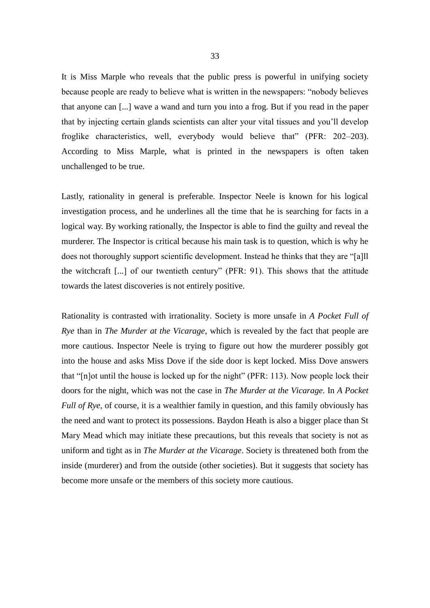It is Miss Marple who reveals that the public press is powerful in unifying society because people are ready to believe what is written in the newspapers: "nobody believes that anyone can [...] wave a wand and turn you into a frog. But if you read in the paper that by injecting certain glands scientists can alter your vital tissues and you'll develop froglike characteristics, well, everybody would believe that" (PFR: 202–203). According to Miss Marple, what is printed in the newspapers is often taken unchallenged to be true.

Lastly, rationality in general is preferable. Inspector Neele is known for his logical investigation process, and he underlines all the time that he is searching for facts in a logical way. By working rationally, the Inspector is able to find the guilty and reveal the murderer. The Inspector is critical because his main task is to question, which is why he does not thoroughly support scientific development. Instead he thinks that they are "[a]ll the witchcraft [...] of our twentieth century" (PFR: 91). This shows that the attitude towards the latest discoveries is not entirely positive.

Rationality is contrasted with irrationality. Society is more unsafe in *A Pocket Full of Rye* than in *The Murder at the Vicarage*, which is revealed by the fact that people are more cautious. Inspector Neele is trying to figure out how the murderer possibly got into the house and asks Miss Dove if the side door is kept locked. Miss Dove answers that "[n]ot until the house is locked up for the night" (PFR: 113). Now people lock their doors for the night, which was not the case in *The Murder at the Vicarage*. In *A Pocket Full of Rye*, of course, it is a wealthier family in question, and this family obviously has the need and want to protect its possessions. Baydon Heath is also a bigger place than St Mary Mead which may initiate these precautions, but this reveals that society is not as uniform and tight as in *The Murder at the Vicarage*. Society is threatened both from the inside (murderer) and from the outside (other societies). But it suggests that society has become more unsafe or the members of this society more cautious.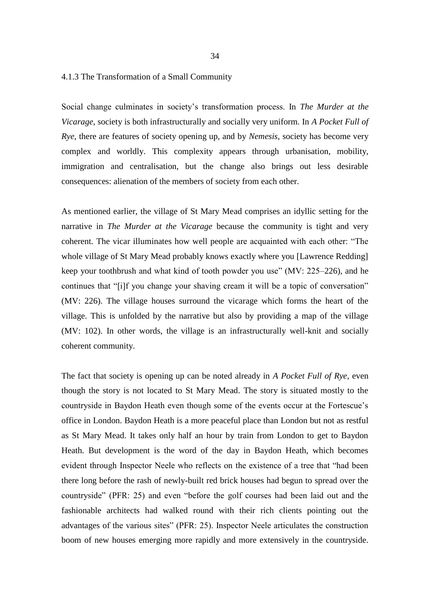## 4.1.3 The Transformation of a Small Community

Social change culminates in society's transformation process. In *The Murder at the Vicarage*, society is both infrastructurally and socially very uniform. In *A Pocket Full of Rye*, there are features of society opening up, and by *Nemesis*, society has become very complex and worldly. This complexity appears through urbanisation, mobility, immigration and centralisation, but the change also brings out less desirable consequences: alienation of the members of society from each other.

As mentioned earlier, the village of St Mary Mead comprises an idyllic setting for the narrative in *The Murder at the Vicarage* because the community is tight and very coherent. The vicar illuminates how well people are acquainted with each other: "The whole village of St Mary Mead probably knows exactly where you [Lawrence Redding] keep your toothbrush and what kind of tooth powder you use" (MV: 225–226), and he continues that "[i]f you change your shaving cream it will be a topic of conversation" (MV: 226). The village houses surround the vicarage which forms the heart of the village. This is unfolded by the narrative but also by providing a map of the village (MV: 102). In other words, the village is an infrastructurally well-knit and socially coherent community.

The fact that society is opening up can be noted already in *A Pocket Full of Rye*, even though the story is not located to St Mary Mead. The story is situated mostly to the countryside in Baydon Heath even though some of the events occur at the Fortescue's office in London. Baydon Heath is a more peaceful place than London but not as restful as St Mary Mead. It takes only half an hour by train from London to get to Baydon Heath. But development is the word of the day in Baydon Heath, which becomes evident through Inspector Neele who reflects on the existence of a tree that "had been there long before the rash of newly-built red brick houses had begun to spread over the countryside" (PFR: 25) and even "before the golf courses had been laid out and the fashionable architects had walked round with their rich clients pointing out the advantages of the various sites" (PFR: 25). Inspector Neele articulates the construction boom of new houses emerging more rapidly and more extensively in the countryside.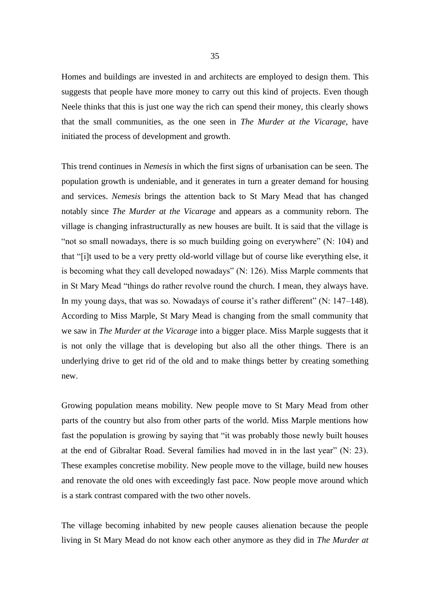Homes and buildings are invested in and architects are employed to design them. This suggests that people have more money to carry out this kind of projects. Even though Neele thinks that this is just one way the rich can spend their money, this clearly shows that the small communities, as the one seen in *The Murder at the Vicarage*, have initiated the process of development and growth.

This trend continues in *Nemesis* in which the first signs of urbanisation can be seen. The population growth is undeniable, and it generates in turn a greater demand for housing and services. *Nemesis* brings the attention back to St Mary Mead that has changed notably since *The Murder at the Vicarage* and appears as a community reborn. The village is changing infrastructurally as new houses are built. It is said that the village is "not so small nowadays, there is so much building going on everywhere" (N: 104) and that "[i]t used to be a very pretty old-world village but of course like everything else, it is becoming what they call developed nowadays" (N: 126). Miss Marple comments that in St Mary Mead "things do rather revolve round the church. I mean, they always have. In my young days, that was so. Nowadays of course it's rather different" (N: 147–148). According to Miss Marple, St Mary Mead is changing from the small community that we saw in *The Murder at the Vicarage* into a bigger place. Miss Marple suggests that it is not only the village that is developing but also all the other things. There is an underlying drive to get rid of the old and to make things better by creating something new.

Growing population means mobility. New people move to St Mary Mead from other parts of the country but also from other parts of the world. Miss Marple mentions how fast the population is growing by saying that "it was probably those newly built houses at the end of Gibraltar Road. Several families had moved in in the last year" (N: 23). These examples concretise mobility. New people move to the village, build new houses and renovate the old ones with exceedingly fast pace. Now people move around which is a stark contrast compared with the two other novels.

The village becoming inhabited by new people causes alienation because the people living in St Mary Mead do not know each other anymore as they did in *The Murder at*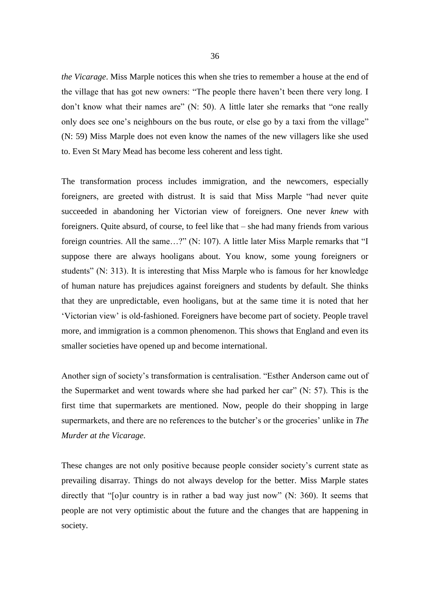*the Vicarage*. Miss Marple notices this when she tries to remember a house at the end of the village that has got new owners: "The people there haven't been there very long. I don't know what their names are" (N: 50). A little later she remarks that "one really only does see one's neighbours on the bus route, or else go by a taxi from the village" (N: 59) Miss Marple does not even know the names of the new villagers like she used to. Even St Mary Mead has become less coherent and less tight.

The transformation process includes immigration, and the newcomers, especially foreigners, are greeted with distrust. It is said that Miss Marple "had never quite succeeded in abandoning her Victorian view of foreigners. One never *knew* with foreigners. Quite absurd, of course, to feel like that – she had many friends from various foreign countries. All the same…?" (N: 107). A little later Miss Marple remarks that "I suppose there are always hooligans about. You know, some young foreigners or students" (N: 313). It is interesting that Miss Marple who is famous for her knowledge of human nature has prejudices against foreigners and students by default. She thinks that they are unpredictable, even hooligans, but at the same time it is noted that her 'Victorian view' is old-fashioned. Foreigners have become part of society. People travel more, and immigration is a common phenomenon. This shows that England and even its smaller societies have opened up and become international.

Another sign of society's transformation is centralisation. "Esther Anderson came out of the Supermarket and went towards where she had parked her car" (N: 57). This is the first time that supermarkets are mentioned. Now, people do their shopping in large supermarkets, and there are no references to the butcher's or the groceries' unlike in *The Murder at the Vicarage*.

These changes are not only positive because people consider society's current state as prevailing disarray. Things do not always develop for the better. Miss Marple states directly that "[o]ur country is in rather a bad way just now" (N: 360). It seems that people are not very optimistic about the future and the changes that are happening in society.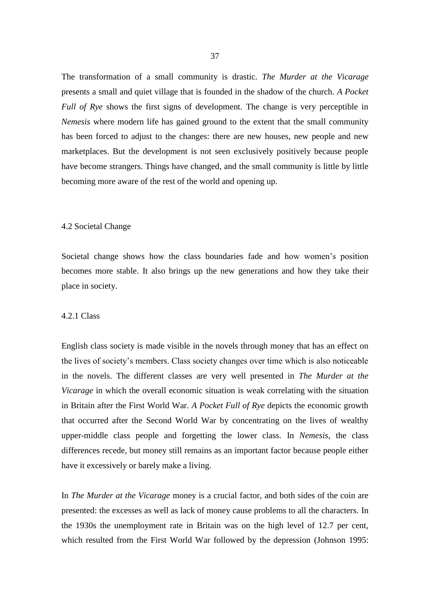The transformation of a small community is drastic. *The Murder at the Vicarage* presents a small and quiet village that is founded in the shadow of the church. *A Pocket Full of Rye* shows the first signs of development. The change is very perceptible in *Nemesis* where modern life has gained ground to the extent that the small community has been forced to adjust to the changes: there are new houses, new people and new marketplaces. But the development is not seen exclusively positively because people have become strangers. Things have changed, and the small community is little by little becoming more aware of the rest of the world and opening up.

#### 4.2 Societal Change

Societal change shows how the class boundaries fade and how women's position becomes more stable. It also brings up the new generations and how they take their place in society.

#### 4.2.1 Class

English class society is made visible in the novels through money that has an effect on the lives of society's members. Class society changes over time which is also noticeable in the novels. The different classes are very well presented in *The Murder at the Vicarage* in which the overall economic situation is weak correlating with the situation in Britain after the First World War. *A Pocket Full of Rye* depicts the economic growth that occurred after the Second World War by concentrating on the lives of wealthy upper-middle class people and forgetting the lower class. In *Nemesis*, the class differences recede, but money still remains as an important factor because people either have it excessively or barely make a living.

In *The Murder at the Vicarage* money is a crucial factor, and both sides of the coin are presented: the excesses as well as lack of money cause problems to all the characters. In the 1930s the unemployment rate in Britain was on the high level of 12.7 per cent, which resulted from the First World War followed by the depression (Johnson 1995: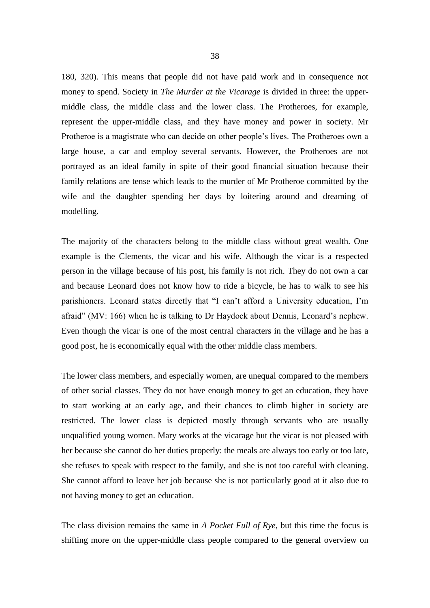180, 320). This means that people did not have paid work and in consequence not money to spend. Society in *The Murder at the Vicarage* is divided in three: the uppermiddle class, the middle class and the lower class. The Protheroes, for example, represent the upper-middle class, and they have money and power in society. Mr Protheroe is a magistrate who can decide on other people's lives. The Protheroes own a large house, a car and employ several servants. However, the Protheroes are not portrayed as an ideal family in spite of their good financial situation because their family relations are tense which leads to the murder of Mr Protheroe committed by the wife and the daughter spending her days by loitering around and dreaming of modelling.

The majority of the characters belong to the middle class without great wealth. One example is the Clements, the vicar and his wife. Although the vicar is a respected person in the village because of his post, his family is not rich. They do not own a car and because Leonard does not know how to ride a bicycle, he has to walk to see his parishioners. Leonard states directly that "I can't afford a University education, I'm afraid" (MV: 166) when he is talking to Dr Haydock about Dennis, Leonard's nephew. Even though the vicar is one of the most central characters in the village and he has a good post, he is economically equal with the other middle class members.

The lower class members, and especially women, are unequal compared to the members of other social classes. They do not have enough money to get an education, they have to start working at an early age, and their chances to climb higher in society are restricted. The lower class is depicted mostly through servants who are usually unqualified young women. Mary works at the vicarage but the vicar is not pleased with her because she cannot do her duties properly: the meals are always too early or too late, she refuses to speak with respect to the family, and she is not too careful with cleaning. She cannot afford to leave her job because she is not particularly good at it also due to not having money to get an education.

The class division remains the same in *A Pocket Full of Rye*, but this time the focus is shifting more on the upper-middle class people compared to the general overview on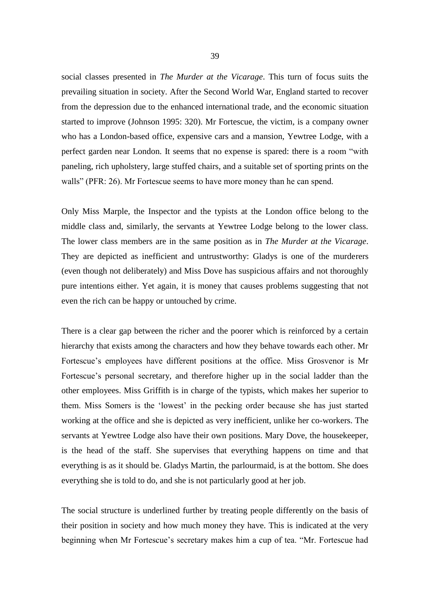social classes presented in *The Murder at the Vicarage*. This turn of focus suits the prevailing situation in society. After the Second World War, England started to recover from the depression due to the enhanced international trade, and the economic situation started to improve (Johnson 1995: 320). Mr Fortescue, the victim, is a company owner who has a London-based office, expensive cars and a mansion, Yewtree Lodge, with a perfect garden near London. It seems that no expense is spared: there is a room "with paneling, rich upholstery, large stuffed chairs, and a suitable set of sporting prints on the walls" (PFR: 26). Mr Fortescue seems to have more money than he can spend.

Only Miss Marple, the Inspector and the typists at the London office belong to the middle class and, similarly, the servants at Yewtree Lodge belong to the lower class. The lower class members are in the same position as in *The Murder at the Vicarage*. They are depicted as inefficient and untrustworthy: Gladys is one of the murderers (even though not deliberately) and Miss Dove has suspicious affairs and not thoroughly pure intentions either. Yet again, it is money that causes problems suggesting that not even the rich can be happy or untouched by crime.

There is a clear gap between the richer and the poorer which is reinforced by a certain hierarchy that exists among the characters and how they behave towards each other. Mr Fortescue's employees have different positions at the office. Miss Grosvenor is Mr Fortescue's personal secretary, and therefore higher up in the social ladder than the other employees. Miss Griffith is in charge of the typists, which makes her superior to them. Miss Somers is the 'lowest' in the pecking order because she has just started working at the office and she is depicted as very inefficient, unlike her co-workers. The servants at Yewtree Lodge also have their own positions. Mary Dove, the housekeeper, is the head of the staff. She supervises that everything happens on time and that everything is as it should be. Gladys Martin, the parlourmaid, is at the bottom. She does everything she is told to do, and she is not particularly good at her job.

The social structure is underlined further by treating people differently on the basis of their position in society and how much money they have. This is indicated at the very beginning when Mr Fortescue's secretary makes him a cup of tea. "Mr. Fortescue had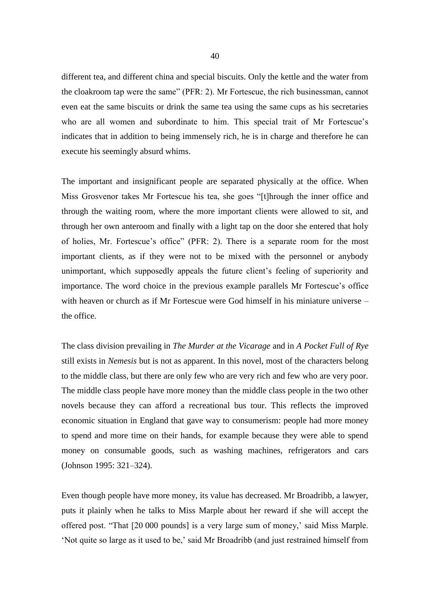different tea, and different china and special biscuits. Only the kettle and the water from the cloakroom tap were the same" (PFR: 2). Mr Fortescue, the rich businessman, cannot even eat the same biscuits or drink the same tea using the same cups as his secretaries who are all women and subordinate to him. This special trait of Mr Fortescue's indicates that in addition to being immensely rich, he is in charge and therefore he can execute his seemingly absurd whims.

The important and insignificant people are separated physically at the office. When Miss Grosvenor takes Mr Fortescue his tea, she goes "[t]hrough the inner office and through the waiting room, where the more important clients were allowed to sit, and through her own anteroom and finally with a light tap on the door she entered that holy of holies, Mr. Fortescue's office" (PFR: 2). There is a separate room for the most important clients, as if they were not to be mixed with the personnel or anybody unimportant, which supposedly appeals the future client's feeling of superiority and importance. The word choice in the previous example parallels Mr Fortescue's office with heaven or church as if Mr Fortescue were God himself in his miniature universe – the office.

The class division prevailing in *The Murder at the Vicarage* and in *A Pocket Full of Rye* still exists in *Nemesis* but is not as apparent. In this novel, most of the characters belong to the middle class, but there are only few who are very rich and few who are very poor. The middle class people have more money than the middle class people in the two other novels because they can afford a recreational bus tour. This reflects the improved economic situation in England that gave way to consumerism: people had more money to spend and more time on their hands, for example because they were able to spend money on consumable goods, such as washing machines, refrigerators and cars (Johnson 1995: 321–324).

Even though people have more money, its value has decreased. Mr Broadribb, a lawyer, puts it plainly when he talks to Miss Marple about her reward if she will accept the offered post. "That [20 000 pounds] is a very large sum of money,' said Miss Marple. 'Not quite so large as it used to be,' said Mr Broadribb (and just restrained himself from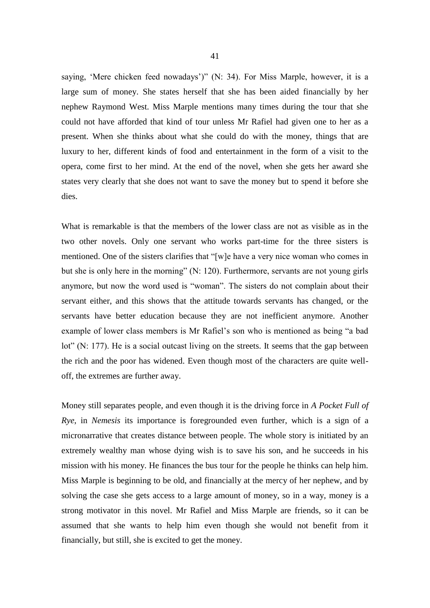saying, 'Mere chicken feed nowadays')" (N: 34). For Miss Marple, however, it is a large sum of money. She states herself that she has been aided financially by her nephew Raymond West. Miss Marple mentions many times during the tour that she could not have afforded that kind of tour unless Mr Rafiel had given one to her as a present. When she thinks about what she could do with the money, things that are luxury to her, different kinds of food and entertainment in the form of a visit to the opera, come first to her mind. At the end of the novel, when she gets her award she states very clearly that she does not want to save the money but to spend it before she dies.

What is remarkable is that the members of the lower class are not as visible as in the two other novels. Only one servant who works part-time for the three sisters is mentioned. One of the sisters clarifies that "[w]e have a very nice woman who comes in but she is only here in the morning" (N: 120). Furthermore, servants are not young girls anymore, but now the word used is "woman". The sisters do not complain about their servant either, and this shows that the attitude towards servants has changed, or the servants have better education because they are not inefficient anymore. Another example of lower class members is Mr Rafiel's son who is mentioned as being "a bad lot" (N: 177). He is a social outcast living on the streets. It seems that the gap between the rich and the poor has widened. Even though most of the characters are quite welloff, the extremes are further away.

Money still separates people, and even though it is the driving force in *A Pocket Full of Rye*, in *Nemesis* its importance is foregrounded even further, which is a sign of a micronarrative that creates distance between people. The whole story is initiated by an extremely wealthy man whose dying wish is to save his son, and he succeeds in his mission with his money. He finances the bus tour for the people he thinks can help him. Miss Marple is beginning to be old, and financially at the mercy of her nephew, and by solving the case she gets access to a large amount of money, so in a way, money is a strong motivator in this novel. Mr Rafiel and Miss Marple are friends, so it can be assumed that she wants to help him even though she would not benefit from it financially, but still, she is excited to get the money.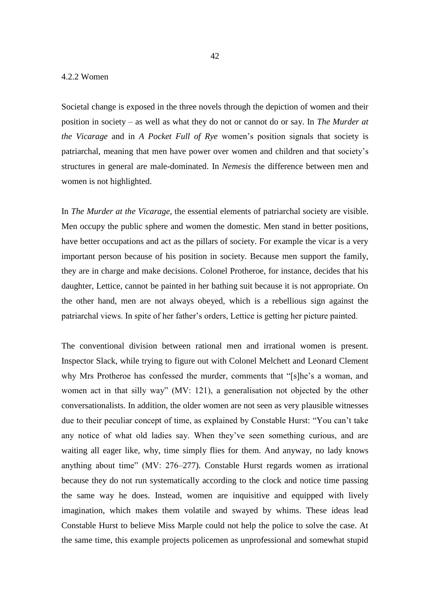# 4.2.2 Women

Societal change is exposed in the three novels through the depiction of women and their position in society – as well as what they do not or cannot do or say. In *The Murder at the Vicarage* and in *A Pocket Full of Rye* women's position signals that society is patriarchal, meaning that men have power over women and children and that society's structures in general are male-dominated. In *Nemesis* the difference between men and women is not highlighted.

In *The Murder at the Vicarage*, the essential elements of patriarchal society are visible. Men occupy the public sphere and women the domestic. Men stand in better positions, have better occupations and act as the pillars of society. For example the vicar is a very important person because of his position in society. Because men support the family, they are in charge and make decisions. Colonel Protheroe, for instance, decides that his daughter, Lettice, cannot be painted in her bathing suit because it is not appropriate. On the other hand, men are not always obeyed, which is a rebellious sign against the patriarchal views. In spite of her father's orders, Lettice is getting her picture painted.

The conventional division between rational men and irrational women is present. Inspector Slack, while trying to figure out with Colonel Melchett and Leonard Clement why Mrs Protheroe has confessed the murder, comments that "[s]he's a woman, and women act in that silly way" (MV: 121), a generalisation not objected by the other conversationalists. In addition, the older women are not seen as very plausible witnesses due to their peculiar concept of time, as explained by Constable Hurst: "You can't take any notice of what old ladies say. When they've seen something curious, and are waiting all eager like, why, time simply flies for them. And anyway, no lady knows anything about time" (MV: 276–277). Constable Hurst regards women as irrational because they do not run systematically according to the clock and notice time passing the same way he does. Instead, women are inquisitive and equipped with lively imagination, which makes them volatile and swayed by whims. These ideas lead Constable Hurst to believe Miss Marple could not help the police to solve the case. At the same time, this example projects policemen as unprofessional and somewhat stupid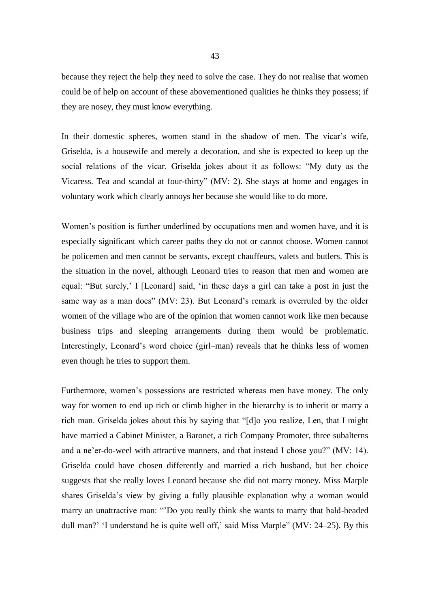because they reject the help they need to solve the case. They do not realise that women could be of help on account of these abovementioned qualities he thinks they possess; if they are nosey, they must know everything.

In their domestic spheres, women stand in the shadow of men. The vicar's wife, Griselda, is a housewife and merely a decoration, and she is expected to keep up the social relations of the vicar. Griselda jokes about it as follows: "My duty as the Vicaress. Tea and scandal at four-thirty" (MV: 2). She stays at home and engages in voluntary work which clearly annoys her because she would like to do more.

Women's position is further underlined by occupations men and women have, and it is especially significant which career paths they do not or cannot choose. Women cannot be policemen and men cannot be servants, except chauffeurs, valets and butlers. This is the situation in the novel, although Leonard tries to reason that men and women are equal: "But surely,' I [Leonard] said, 'in these days a girl can take a post in just the same way as a man does" (MV: 23). But Leonard's remark is overruled by the older women of the village who are of the opinion that women cannot work like men because business trips and sleeping arrangements during them would be problematic. Interestingly, Leonard's word choice (girl–man) reveals that he thinks less of women even though he tries to support them.

Furthermore, women's possessions are restricted whereas men have money. The only way for women to end up rich or climb higher in the hierarchy is to inherit or marry a rich man. Griselda jokes about this by saying that "[d]o you realize, Len, that I might have married a Cabinet Minister, a Baronet, a rich Company Promoter, three subalterns and a ne'er-do-weel with attractive manners, and that instead I chose you?" (MV: 14). Griselda could have chosen differently and married a rich husband, but her choice suggests that she really loves Leonard because she did not marry money. Miss Marple shares Griselda's view by giving a fully plausible explanation why a woman would marry an unattractive man: "'Do you really think she wants to marry that bald-headed dull man?' 'I understand he is quite well off,' said Miss Marple" (MV: 24–25). By this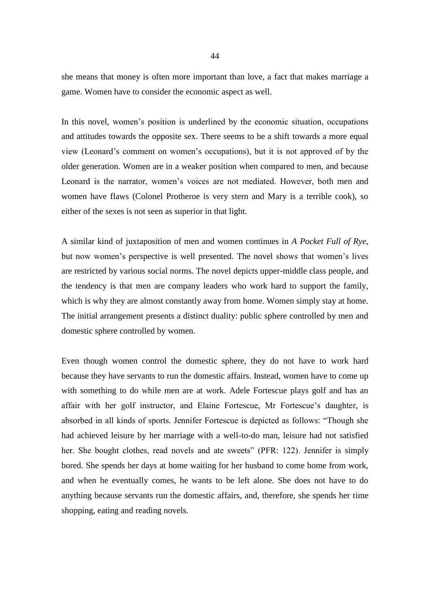she means that money is often more important than love, a fact that makes marriage a game. Women have to consider the economic aspect as well.

In this novel, women's position is underlined by the economic situation, occupations and attitudes towards the opposite sex. There seems to be a shift towards a more equal view (Leonard's comment on women's occupations), but it is not approved of by the older generation. Women are in a weaker position when compared to men, and because Leonard is the narrator, women's voices are not mediated. However, both men and women have flaws (Colonel Protheroe is very stern and Mary is a terrible cook), so either of the sexes is not seen as superior in that light.

A similar kind of juxtaposition of men and women continues in *A Pocket Full of Rye*, but now women's perspective is well presented. The novel shows that women's lives are restricted by various social norms. The novel depicts upper-middle class people, and the tendency is that men are company leaders who work hard to support the family, which is why they are almost constantly away from home. Women simply stay at home. The initial arrangement presents a distinct duality: public sphere controlled by men and domestic sphere controlled by women.

Even though women control the domestic sphere, they do not have to work hard because they have servants to run the domestic affairs. Instead, women have to come up with something to do while men are at work. Adele Fortescue plays golf and has an affair with her golf instructor, and Elaine Fortescue, Mr Fortescue's daughter, is absorbed in all kinds of sports. Jennifer Fortescue is depicted as follows: "Though she had achieved leisure by her marriage with a well-to-do man, leisure had not satisfied her. She bought clothes, read novels and ate sweets" (PFR: 122). Jennifer is simply bored. She spends her days at home waiting for her husband to come home from work, and when he eventually comes, he wants to be left alone. She does not have to do anything because servants run the domestic affairs, and, therefore, she spends her time shopping, eating and reading novels.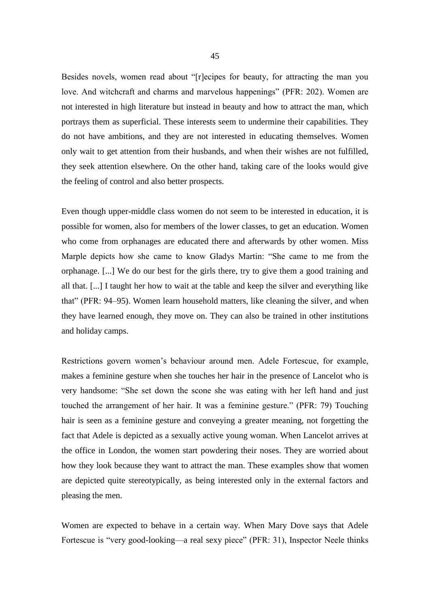Besides novels, women read about "[r]ecipes for beauty, for attracting the man you love. And witchcraft and charms and marvelous happenings" (PFR: 202). Women are not interested in high literature but instead in beauty and how to attract the man, which portrays them as superficial. These interests seem to undermine their capabilities. They do not have ambitions, and they are not interested in educating themselves. Women only wait to get attention from their husbands, and when their wishes are not fulfilled, they seek attention elsewhere. On the other hand, taking care of the looks would give the feeling of control and also better prospects.

Even though upper-middle class women do not seem to be interested in education, it is possible for women, also for members of the lower classes, to get an education. Women who come from orphanages are educated there and afterwards by other women. Miss Marple depicts how she came to know Gladys Martin: "She came to me from the orphanage. [...] We do our best for the girls there, try to give them a good training and all that. [...] I taught her how to wait at the table and keep the silver and everything like that" (PFR: 94–95). Women learn household matters, like cleaning the silver, and when they have learned enough, they move on. They can also be trained in other institutions and holiday camps.

Restrictions govern women's behaviour around men. Adele Fortescue, for example, makes a feminine gesture when she touches her hair in the presence of Lancelot who is very handsome: "She set down the scone she was eating with her left hand and just touched the arrangement of her hair. It was a feminine gesture." (PFR: 79) Touching hair is seen as a feminine gesture and conveying a greater meaning, not forgetting the fact that Adele is depicted as a sexually active young woman. When Lancelot arrives at the office in London, the women start powdering their noses. They are worried about how they look because they want to attract the man. These examples show that women are depicted quite stereotypically, as being interested only in the external factors and pleasing the men.

Women are expected to behave in a certain way. When Mary Dove says that Adele Fortescue is "very good-looking—a real sexy piece" (PFR: 31), Inspector Neele thinks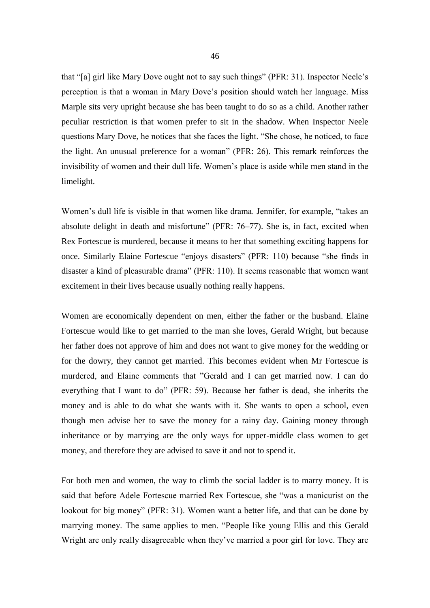that "[a] girl like Mary Dove ought not to say such things" (PFR: 31). Inspector Neele's perception is that a woman in Mary Dove's position should watch her language. Miss Marple sits very upright because she has been taught to do so as a child. Another rather peculiar restriction is that women prefer to sit in the shadow. When Inspector Neele questions Mary Dove, he notices that she faces the light. "She chose, he noticed, to face the light. An unusual preference for a woman" (PFR: 26). This remark reinforces the invisibility of women and their dull life. Women's place is aside while men stand in the limelight.

Women's dull life is visible in that women like drama. Jennifer, for example, "takes an absolute delight in death and misfortune" (PFR: 76–77). She is, in fact, excited when Rex Fortescue is murdered, because it means to her that something exciting happens for once. Similarly Elaine Fortescue "enjoys disasters" (PFR: 110) because "she finds in disaster a kind of pleasurable drama" (PFR: 110). It seems reasonable that women want excitement in their lives because usually nothing really happens.

Women are economically dependent on men, either the father or the husband. Elaine Fortescue would like to get married to the man she loves, Gerald Wright, but because her father does not approve of him and does not want to give money for the wedding or for the dowry, they cannot get married. This becomes evident when Mr Fortescue is murdered, and Elaine comments that "Gerald and I can get married now. I can do everything that I want to do" (PFR: 59). Because her father is dead, she inherits the money and is able to do what she wants with it. She wants to open a school, even though men advise her to save the money for a rainy day. Gaining money through inheritance or by marrying are the only ways for upper-middle class women to get money, and therefore they are advised to save it and not to spend it.

For both men and women, the way to climb the social ladder is to marry money. It is said that before Adele Fortescue married Rex Fortescue, she "was a manicurist on the lookout for big money" (PFR: 31). Women want a better life, and that can be done by marrying money. The same applies to men. "People like young Ellis and this Gerald Wright are only really disagreeable when they've married a poor girl for love. They are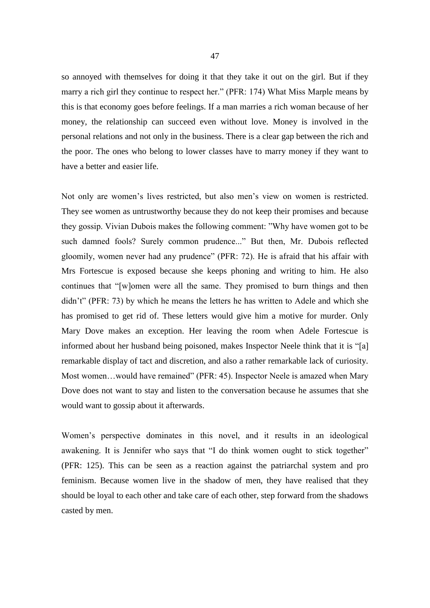so annoyed with themselves for doing it that they take it out on the girl. But if they marry a rich girl they continue to respect her." (PFR: 174) What Miss Marple means by this is that economy goes before feelings. If a man marries a rich woman because of her money, the relationship can succeed even without love. Money is involved in the personal relations and not only in the business. There is a clear gap between the rich and the poor. The ones who belong to lower classes have to marry money if they want to have a better and easier life.

Not only are women's lives restricted, but also men's view on women is restricted. They see women as untrustworthy because they do not keep their promises and because they gossip. Vivian Dubois makes the following comment: "Why have women got to be such damned fools? Surely common prudence..." But then, Mr. Dubois reflected gloomily, women never had any prudence" (PFR: 72). He is afraid that his affair with Mrs Fortescue is exposed because she keeps phoning and writing to him. He also continues that "[w]omen were all the same. They promised to burn things and then didn't" (PFR: 73) by which he means the letters he has written to Adele and which she has promised to get rid of. These letters would give him a motive for murder. Only Mary Dove makes an exception. Her leaving the room when Adele Fortescue is informed about her husband being poisoned, makes Inspector Neele think that it is "[a] remarkable display of tact and discretion, and also a rather remarkable lack of curiosity. Most women…would have remained" (PFR: 45). Inspector Neele is amazed when Mary Dove does not want to stay and listen to the conversation because he assumes that she would want to gossip about it afterwards.

Women's perspective dominates in this novel, and it results in an ideological awakening. It is Jennifer who says that "I do think women ought to stick together" (PFR: 125). This can be seen as a reaction against the patriarchal system and pro feminism. Because women live in the shadow of men, they have realised that they should be loyal to each other and take care of each other, step forward from the shadows casted by men.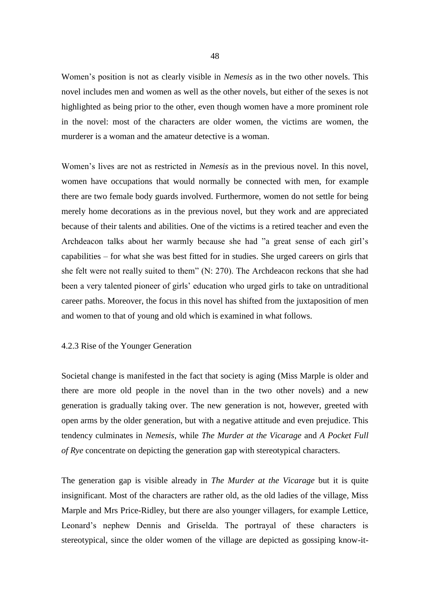Women's position is not as clearly visible in *Nemesis* as in the two other novels. This novel includes men and women as well as the other novels, but either of the sexes is not highlighted as being prior to the other, even though women have a more prominent role in the novel: most of the characters are older women, the victims are women, the murderer is a woman and the amateur detective is a woman.

Women's lives are not as restricted in *Nemesis* as in the previous novel. In this novel, women have occupations that would normally be connected with men, for example there are two female body guards involved. Furthermore, women do not settle for being merely home decorations as in the previous novel, but they work and are appreciated because of their talents and abilities. One of the victims is a retired teacher and even the Archdeacon talks about her warmly because she had "a great sense of each girl's capabilities – for what she was best fitted for in studies. She urged careers on girls that she felt were not really suited to them" (N: 270). The Archdeacon reckons that she had been a very talented pioneer of girls' education who urged girls to take on untraditional career paths. Moreover, the focus in this novel has shifted from the juxtaposition of men and women to that of young and old which is examined in what follows.

## 4.2.3 Rise of the Younger Generation

Societal change is manifested in the fact that society is aging (Miss Marple is older and there are more old people in the novel than in the two other novels) and a new generation is gradually taking over. The new generation is not, however, greeted with open arms by the older generation, but with a negative attitude and even prejudice. This tendency culminates in *Nemesis*, while *The Murder at the Vicarage* and *A Pocket Full of Rye* concentrate on depicting the generation gap with stereotypical characters.

The generation gap is visible already in *The Murder at the Vicarage* but it is quite insignificant. Most of the characters are rather old, as the old ladies of the village, Miss Marple and Mrs Price-Ridley, but there are also younger villagers, for example Lettice, Leonard's nephew Dennis and Griselda. The portrayal of these characters is stereotypical, since the older women of the village are depicted as gossiping know-it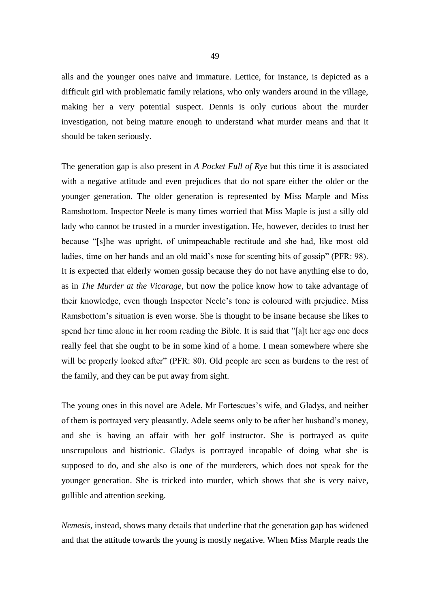alls and the younger ones naive and immature. Lettice, for instance, is depicted as a difficult girl with problematic family relations, who only wanders around in the village, making her a very potential suspect. Dennis is only curious about the murder investigation, not being mature enough to understand what murder means and that it should be taken seriously.

The generation gap is also present in *A Pocket Full of Rye* but this time it is associated with a negative attitude and even prejudices that do not spare either the older or the younger generation. The older generation is represented by Miss Marple and Miss Ramsbottom. Inspector Neele is many times worried that Miss Maple is just a silly old lady who cannot be trusted in a murder investigation. He, however, decides to trust her because "[s]he was upright, of unimpeachable rectitude and she had, like most old ladies, time on her hands and an old maid's nose for scenting bits of gossip" (PFR: 98). It is expected that elderly women gossip because they do not have anything else to do, as in *The Murder at the Vicarage*, but now the police know how to take advantage of their knowledge, even though Inspector Neele's tone is coloured with prejudice. Miss Ramsbottom's situation is even worse. She is thought to be insane because she likes to spend her time alone in her room reading the Bible. It is said that "[a]t her age one does really feel that she ought to be in some kind of a home. I mean somewhere where she will be properly looked after" (PFR: 80). Old people are seen as burdens to the rest of the family, and they can be put away from sight.

The young ones in this novel are Adele, Mr Fortescues's wife, and Gladys, and neither of them is portrayed very pleasantly. Adele seems only to be after her husband's money, and she is having an affair with her golf instructor. She is portrayed as quite unscrupulous and histrionic. Gladys is portrayed incapable of doing what she is supposed to do, and she also is one of the murderers, which does not speak for the younger generation. She is tricked into murder, which shows that she is very naive, gullible and attention seeking.

*Nemesis*, instead, shows many details that underline that the generation gap has widened and that the attitude towards the young is mostly negative. When Miss Marple reads the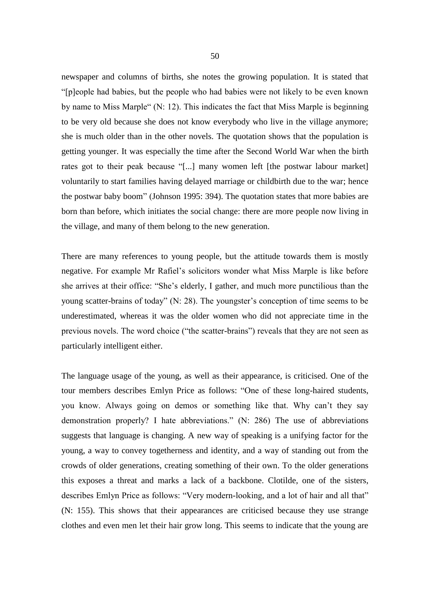newspaper and columns of births, she notes the growing population. It is stated that "[p]eople had babies, but the people who had babies were not likely to be even known by name to Miss Marple" (N: 12). This indicates the fact that Miss Marple is beginning to be very old because she does not know everybody who live in the village anymore; she is much older than in the other novels. The quotation shows that the population is getting younger. It was especially the time after the Second World War when the birth rates got to their peak because "[...] many women left [the postwar labour market] voluntarily to start families having delayed marriage or childbirth due to the war; hence the postwar baby boom" (Johnson 1995: 394). The quotation states that more babies are born than before, which initiates the social change: there are more people now living in the village, and many of them belong to the new generation.

There are many references to young people, but the attitude towards them is mostly negative. For example Mr Rafiel's solicitors wonder what Miss Marple is like before she arrives at their office: "She's elderly, I gather, and much more punctilious than the young scatter-brains of today" (N: 28). The youngster's conception of time seems to be underestimated, whereas it was the older women who did not appreciate time in the previous novels. The word choice ("the scatter-brains") reveals that they are not seen as particularly intelligent either.

The language usage of the young, as well as their appearance, is criticised. One of the tour members describes Emlyn Price as follows: "One of these long-haired students, you know. Always going on demos or something like that. Why can't they say demonstration properly? I hate abbreviations." (N: 286) The use of abbreviations suggests that language is changing. A new way of speaking is a unifying factor for the young, a way to convey togetherness and identity, and a way of standing out from the crowds of older generations, creating something of their own. To the older generations this exposes a threat and marks a lack of a backbone. Clotilde, one of the sisters, describes Emlyn Price as follows: "Very modern-looking, and a lot of hair and all that" (N: 155). This shows that their appearances are criticised because they use strange clothes and even men let their hair grow long. This seems to indicate that the young are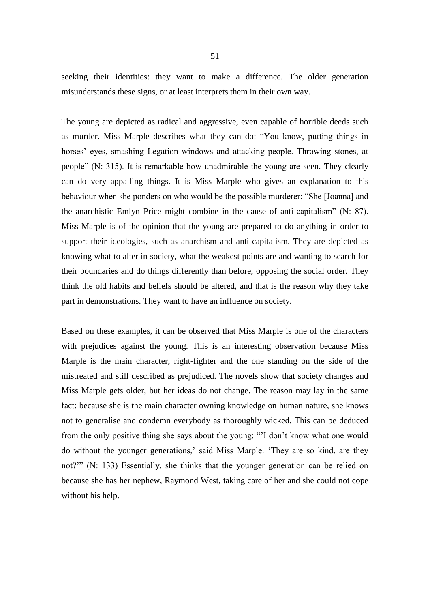seeking their identities: they want to make a difference. The older generation misunderstands these signs, or at least interprets them in their own way.

The young are depicted as radical and aggressive, even capable of horrible deeds such as murder. Miss Marple describes what they can do: "You know, putting things in horses' eyes, smashing Legation windows and attacking people. Throwing stones, at people" (N: 315). It is remarkable how unadmirable the young are seen. They clearly can do very appalling things. It is Miss Marple who gives an explanation to this behaviour when she ponders on who would be the possible murderer: "She [Joanna] and the anarchistic Emlyn Price might combine in the cause of anti-capitalism" (N: 87). Miss Marple is of the opinion that the young are prepared to do anything in order to support their ideologies, such as anarchism and anti-capitalism. They are depicted as knowing what to alter in society, what the weakest points are and wanting to search for their boundaries and do things differently than before, opposing the social order. They think the old habits and beliefs should be altered, and that is the reason why they take part in demonstrations. They want to have an influence on society.

Based on these examples, it can be observed that Miss Marple is one of the characters with prejudices against the young. This is an interesting observation because Miss Marple is the main character, right-fighter and the one standing on the side of the mistreated and still described as prejudiced. The novels show that society changes and Miss Marple gets older, but her ideas do not change. The reason may lay in the same fact: because she is the main character owning knowledge on human nature, she knows not to generalise and condemn everybody as thoroughly wicked. This can be deduced from the only positive thing she says about the young: "'I don't know what one would do without the younger generations,' said Miss Marple. 'They are so kind, are they not?'" (N: 133) Essentially, she thinks that the younger generation can be relied on because she has her nephew, Raymond West, taking care of her and she could not cope without his help.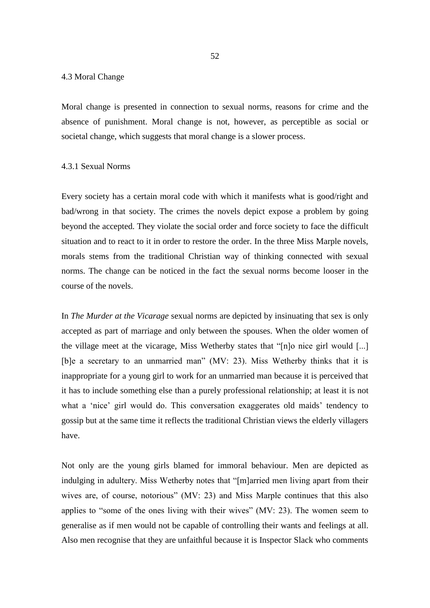## 4.3 Moral Change

Moral change is presented in connection to sexual norms, reasons for crime and the absence of punishment. Moral change is not, however, as perceptible as social or societal change, which suggests that moral change is a slower process.

## 4.3.1 Sexual Norms

Every society has a certain moral code with which it manifests what is good/right and bad/wrong in that society. The crimes the novels depict expose a problem by going beyond the accepted. They violate the social order and force society to face the difficult situation and to react to it in order to restore the order. In the three Miss Marple novels, morals stems from the traditional Christian way of thinking connected with sexual norms. The change can be noticed in the fact the sexual norms become looser in the course of the novels.

In *The Murder at the Vicarage* sexual norms are depicted by insinuating that sex is only accepted as part of marriage and only between the spouses. When the older women of the village meet at the vicarage, Miss Wetherby states that "[n]o nice girl would [...] [b]e a secretary to an unmarried man" (MV: 23). Miss Wetherby thinks that it is inappropriate for a young girl to work for an unmarried man because it is perceived that it has to include something else than a purely professional relationship; at least it is not what a 'nice' girl would do. This conversation exaggerates old maids' tendency to gossip but at the same time it reflects the traditional Christian views the elderly villagers have.

Not only are the young girls blamed for immoral behaviour. Men are depicted as indulging in adultery. Miss Wetherby notes that "[m]arried men living apart from their wives are, of course, notorious" (MV: 23) and Miss Marple continues that this also applies to "some of the ones living with their wives" (MV: 23). The women seem to generalise as if men would not be capable of controlling their wants and feelings at all. Also men recognise that they are unfaithful because it is Inspector Slack who comments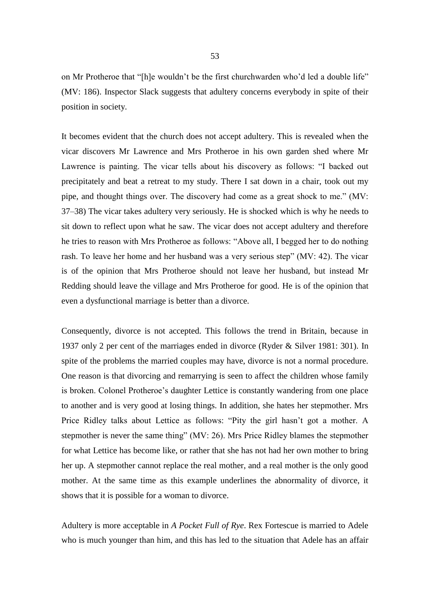on Mr Protheroe that "[h]e wouldn't be the first churchwarden who'd led a double life" (MV: 186). Inspector Slack suggests that adultery concerns everybody in spite of their position in society.

It becomes evident that the church does not accept adultery. This is revealed when the vicar discovers Mr Lawrence and Mrs Protheroe in his own garden shed where Mr Lawrence is painting. The vicar tells about his discovery as follows: "I backed out precipitately and beat a retreat to my study. There I sat down in a chair, took out my pipe, and thought things over. The discovery had come as a great shock to me." (MV: 37–38) The vicar takes adultery very seriously. He is shocked which is why he needs to sit down to reflect upon what he saw. The vicar does not accept adultery and therefore he tries to reason with Mrs Protheroe as follows: "Above all, I begged her to do nothing rash. To leave her home and her husband was a very serious step" (MV: 42). The vicar is of the opinion that Mrs Protheroe should not leave her husband, but instead Mr Redding should leave the village and Mrs Protheroe for good. He is of the opinion that even a dysfunctional marriage is better than a divorce.

Consequently, divorce is not accepted. This follows the trend in Britain, because in 1937 only 2 per cent of the marriages ended in divorce (Ryder & Silver 1981: 301). In spite of the problems the married couples may have, divorce is not a normal procedure. One reason is that divorcing and remarrying is seen to affect the children whose family is broken. Colonel Protheroe's daughter Lettice is constantly wandering from one place to another and is very good at losing things. In addition, she hates her stepmother. Mrs Price Ridley talks about Lettice as follows: "Pity the girl hasn't got a mother. A stepmother is never the same thing" (MV: 26). Mrs Price Ridley blames the stepmother for what Lettice has become like, or rather that she has not had her own mother to bring her up. A stepmother cannot replace the real mother, and a real mother is the only good mother. At the same time as this example underlines the abnormality of divorce, it shows that it is possible for a woman to divorce.

Adultery is more acceptable in *A Pocket Full of Rye*. Rex Fortescue is married to Adele who is much younger than him, and this has led to the situation that Adele has an affair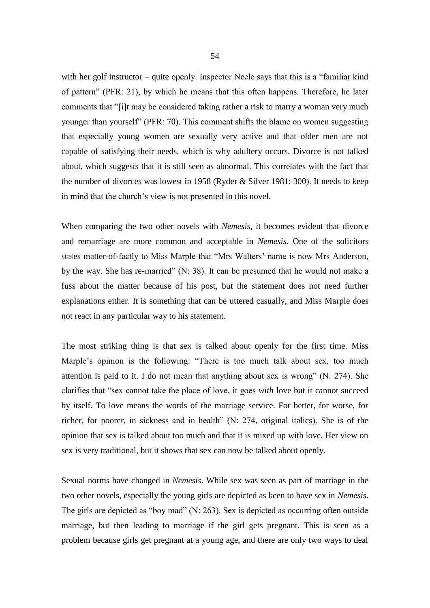with her golf instructor – quite openly. Inspector Neele says that this is a "familiar kind of pattern" (PFR: 21), by which he means that this often happens. Therefore, he later comments that "[i]t may be considered taking rather a risk to marry a woman very much younger than yourself" (PFR: 70). This comment shifts the blame on women suggesting that especially young women are sexually very active and that older men are not capable of satisfying their needs, which is why adultery occurs. Divorce is not talked about, which suggests that it is still seen as abnormal. This correlates with the fact that the number of divorces was lowest in 1958 (Ryder & Silver 1981: 300). It needs to keep in mind that the church's view is not presented in this novel.

When comparing the two other novels with *Nemesis*, it becomes evident that divorce and remarriage are more common and acceptable in *Nemesis*. One of the solicitors states matter-of-factly to Miss Marple that "Mrs Walters' name is now Mrs Anderson, by the way. She has re-married" (N: 38). It can be presumed that he would not make a fuss about the matter because of his post, but the statement does not need further explanations either. It is something that can be uttered casually, and Miss Marple does not react in any particular way to his statement.

The most striking thing is that sex is talked about openly for the first time. Miss Marple's opinion is the following: "There is too much talk about sex, too much attention is paid to it. I do not mean that anything about sex is wrong" (N: 274). She clarifies that "sex cannot take the place of love, it goes *with* love but it cannot succeed by itself. To love means the words of the marriage service. For better, for worse, for richer, for poorer, in sickness and in health" (N: 274, original italics). She is of the opinion that sex is talked about too much and that it is mixed up with love. Her view on sex is very traditional, but it shows that sex can now be talked about openly.

Sexual norms have changed in *Nemesis*. While sex was seen as part of marriage in the two other novels, especially the young girls are depicted as keen to have sex in *Nemesis*. The girls are depicted as "boy mad" (N: 263). Sex is depicted as occurring often outside marriage, but then leading to marriage if the girl gets pregnant. This is seen as a problem because girls get pregnant at a young age, and there are only two ways to deal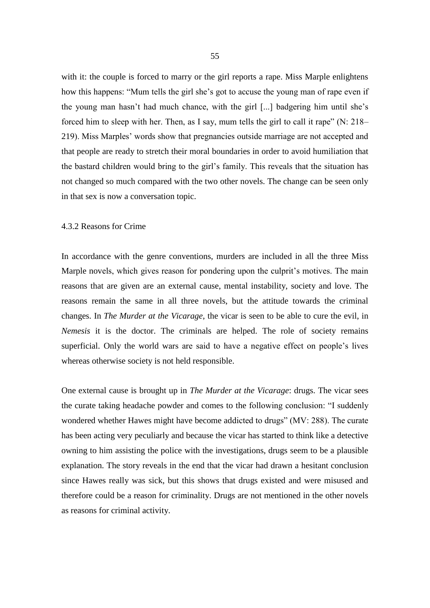with it: the couple is forced to marry or the girl reports a rape. Miss Marple enlightens how this happens: "Mum tells the girl she's got to accuse the young man of rape even if the young man hasn't had much chance, with the girl [...] badgering him until she's forced him to sleep with her. Then, as I say, mum tells the girl to call it rape"  $(N: 218-$ 219). Miss Marples' words show that pregnancies outside marriage are not accepted and that people are ready to stretch their moral boundaries in order to avoid humiliation that the bastard children would bring to the girl's family. This reveals that the situation has not changed so much compared with the two other novels. The change can be seen only in that sex is now a conversation topic.

#### 4.3.2 Reasons for Crime

In accordance with the genre conventions, murders are included in all the three Miss Marple novels, which gives reason for pondering upon the culprit's motives. The main reasons that are given are an external cause, mental instability, society and love. The reasons remain the same in all three novels, but the attitude towards the criminal changes. In *The Murder at the Vicarage*, the vicar is seen to be able to cure the evil, in *Nemesis* it is the doctor. The criminals are helped. The role of society remains superficial. Only the world wars are said to have a negative effect on people's lives whereas otherwise society is not held responsible.

One external cause is brought up in *The Murder at the Vicarage*: drugs. The vicar sees the curate taking headache powder and comes to the following conclusion: "I suddenly wondered whether Hawes might have become addicted to drugs" (MV: 288). The curate has been acting very peculiarly and because the vicar has started to think like a detective owning to him assisting the police with the investigations, drugs seem to be a plausible explanation. The story reveals in the end that the vicar had drawn a hesitant conclusion since Hawes really was sick, but this shows that drugs existed and were misused and therefore could be a reason for criminality. Drugs are not mentioned in the other novels as reasons for criminal activity.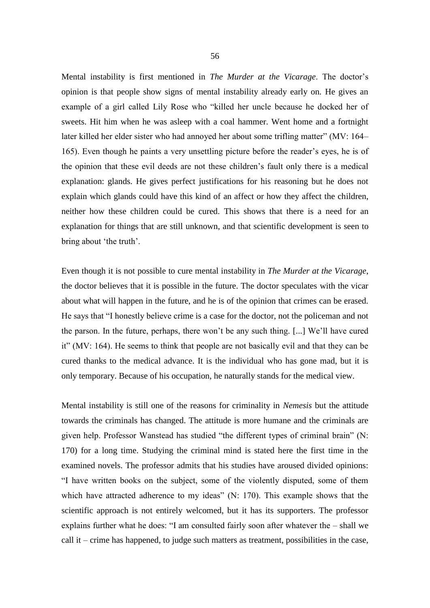Mental instability is first mentioned in *The Murder at the Vicarage*. The doctor's opinion is that people show signs of mental instability already early on. He gives an example of a girl called Lily Rose who "killed her uncle because he docked her of sweets. Hit him when he was asleep with a coal hammer. Went home and a fortnight later killed her elder sister who had annoyed her about some trifling matter" (MV: 164– 165). Even though he paints a very unsettling picture before the reader's eyes, he is of the opinion that these evil deeds are not these children's fault only there is a medical explanation: glands. He gives perfect justifications for his reasoning but he does not explain which glands could have this kind of an affect or how they affect the children, neither how these children could be cured. This shows that there is a need for an explanation for things that are still unknown, and that scientific development is seen to bring about 'the truth'.

Even though it is not possible to cure mental instability in *The Murder at the Vicarage*, the doctor believes that it is possible in the future. The doctor speculates with the vicar about what will happen in the future, and he is of the opinion that crimes can be erased. He says that "I honestly believe crime is a case for the doctor, not the policeman and not the parson. In the future, perhaps, there won't be any such thing. [...] We'll have cured it" (MV: 164). He seems to think that people are not basically evil and that they can be cured thanks to the medical advance. It is the individual who has gone mad, but it is only temporary. Because of his occupation, he naturally stands for the medical view.

Mental instability is still one of the reasons for criminality in *Nemesis* but the attitude towards the criminals has changed. The attitude is more humane and the criminals are given help. Professor Wanstead has studied "the different types of criminal brain" (N: 170) for a long time. Studying the criminal mind is stated here the first time in the examined novels. The professor admits that his studies have aroused divided opinions: "I have written books on the subject, some of the violently disputed, some of them which have attracted adherence to my ideas" (N: 170). This example shows that the scientific approach is not entirely welcomed, but it has its supporters. The professor explains further what he does: "I am consulted fairly soon after whatever the – shall we call it – crime has happened, to judge such matters as treatment, possibilities in the case,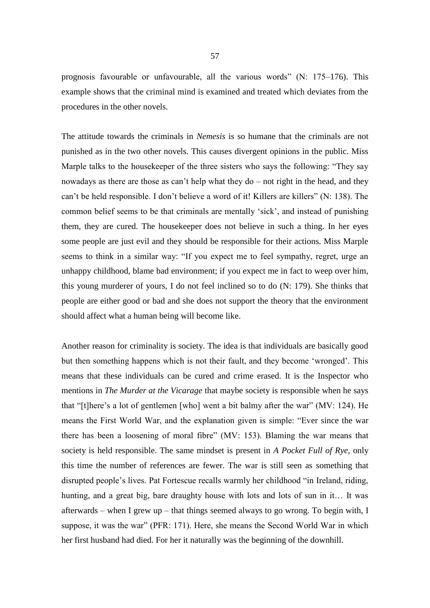prognosis favourable or unfavourable, all the various words" (N: 175–176). This example shows that the criminal mind is examined and treated which deviates from the procedures in the other novels.

The attitude towards the criminals in *Nemesis* is so humane that the criminals are not punished as in the two other novels. This causes divergent opinions in the public. Miss Marple talks to the housekeeper of the three sisters who says the following: "They say nowadays as there are those as can't help what they do – not right in the head, and they can't be held responsible. I don't believe a word of it! Killers are killers" (N: 138). The common belief seems to be that criminals are mentally 'sick', and instead of punishing them, they are cured. The housekeeper does not believe in such a thing. In her eyes some people are just evil and they should be responsible for their actions. Miss Marple seems to think in a similar way: "If you expect me to feel sympathy, regret, urge an unhappy childhood, blame bad environment; if you expect me in fact to weep over him, this young murderer of yours, I do not feel inclined so to do (N: 179). She thinks that people are either good or bad and she does not support the theory that the environment should affect what a human being will become like.

Another reason for criminality is society. The idea is that individuals are basically good but then something happens which is not their fault, and they become 'wronged'. This means that these individuals can be cured and crime erased. It is the Inspector who mentions in *The Murder at the Vicarage* that maybe society is responsible when he says that "[t]here's a lot of gentlemen [who] went a bit balmy after the war" (MV: 124). He means the First World War, and the explanation given is simple: "Ever since the war there has been a loosening of moral fibre" (MV: 153). Blaming the war means that society is held responsible. The same mindset is present in *A Pocket Full of Rye*, only this time the number of references are fewer. The war is still seen as something that disrupted people's lives. Pat Fortescue recalls warmly her childhood "in Ireland, riding, hunting, and a great big, bare draughty house with lots and lots of sun in it… It was afterwards – when I grew up – that things seemed always to go wrong. To begin with, I suppose, it was the war" (PFR: 171). Here, she means the Second World War in which her first husband had died. For her it naturally was the beginning of the downhill.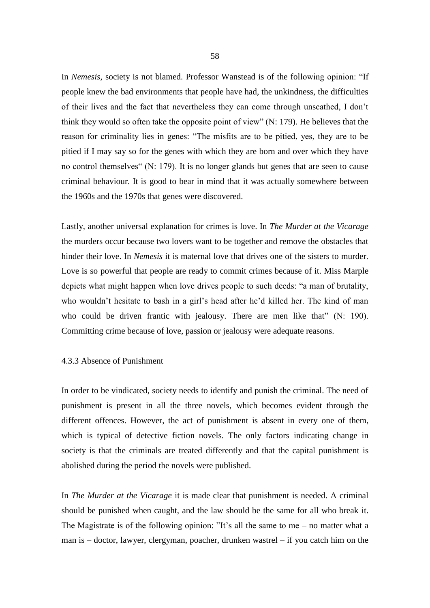In *Nemesis*, society is not blamed. Professor Wanstead is of the following opinion: "If people knew the bad environments that people have had, the unkindness, the difficulties of their lives and the fact that nevertheless they can come through unscathed, I don't think they would so often take the opposite point of view" (N: 179). He believes that the reason for criminality lies in genes: "The misfits are to be pitied, yes, they are to be pitied if I may say so for the genes with which they are born and over which they have no control themselves" (N: 179). It is no longer glands but genes that are seen to cause criminal behaviour. It is good to bear in mind that it was actually somewhere between the 1960s and the 1970s that genes were discovered.

Lastly, another universal explanation for crimes is love. In *The Murder at the Vicarage* the murders occur because two lovers want to be together and remove the obstacles that hinder their love. In *Nemesis* it is maternal love that drives one of the sisters to murder. Love is so powerful that people are ready to commit crimes because of it. Miss Marple depicts what might happen when love drives people to such deeds: "a man of brutality, who wouldn't hesitate to bash in a girl's head after he'd killed her. The kind of man who could be driven frantic with jealousy. There are men like that" (N: 190). Committing crime because of love, passion or jealousy were adequate reasons.

# 4.3.3 Absence of Punishment

In order to be vindicated, society needs to identify and punish the criminal. The need of punishment is present in all the three novels, which becomes evident through the different offences. However, the act of punishment is absent in every one of them, which is typical of detective fiction novels. The only factors indicating change in society is that the criminals are treated differently and that the capital punishment is abolished during the period the novels were published.

In *The Murder at the Vicarage* it is made clear that punishment is needed. A criminal should be punished when caught, and the law should be the same for all who break it. The Magistrate is of the following opinion: "It's all the same to me – no matter what a man is – doctor, lawyer, clergyman, poacher, drunken wastrel – if you catch him on the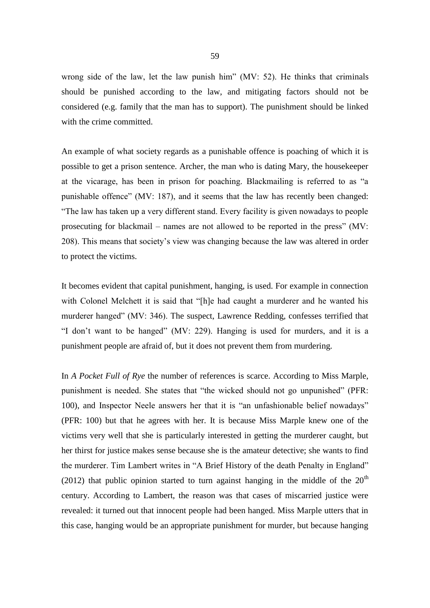wrong side of the law, let the law punish him" (MV: 52). He thinks that criminals should be punished according to the law, and mitigating factors should not be considered (e.g. family that the man has to support). The punishment should be linked with the crime committed.

An example of what society regards as a punishable offence is poaching of which it is possible to get a prison sentence. Archer, the man who is dating Mary, the housekeeper at the vicarage, has been in prison for poaching. Blackmailing is referred to as "a punishable offence" (MV: 187), and it seems that the law has recently been changed: "The law has taken up a very different stand. Every facility is given nowadays to people prosecuting for blackmail – names are not allowed to be reported in the press" (MV: 208). This means that society's view was changing because the law was altered in order to protect the victims.

It becomes evident that capital punishment, hanging, is used. For example in connection with Colonel Melchett it is said that "[h]e had caught a murderer and he wanted his murderer hanged" (MV: 346). The suspect, Lawrence Redding, confesses terrified that "I don't want to be hanged" (MV: 229). Hanging is used for murders, and it is a punishment people are afraid of, but it does not prevent them from murdering.

In *A Pocket Full of Rye* the number of references is scarce. According to Miss Marple, punishment is needed. She states that "the wicked should not go unpunished" (PFR: 100), and Inspector Neele answers her that it is "an unfashionable belief nowadays" (PFR: 100) but that he agrees with her. It is because Miss Marple knew one of the victims very well that she is particularly interested in getting the murderer caught, but her thirst for justice makes sense because she is the amateur detective; she wants to find the murderer. Tim Lambert writes in "A Brief History of the death Penalty in England" [\(2012](http://www.localhistories.org/capital.html%20loaned%2028.6.2012)) that public opinion started to turn against hanging in the middle of the  $20<sup>th</sup>$ century. According to Lambert, the reason was that cases of miscarried justice were revealed: it turned out that innocent people had been hanged. Miss Marple utters that in this case, hanging would be an appropriate punishment for murder, but because hanging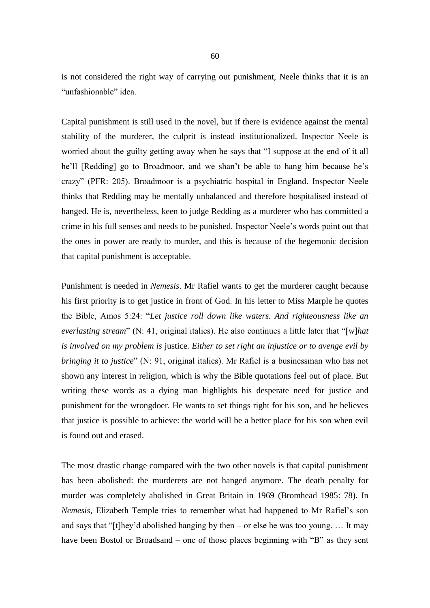is not considered the right way of carrying out punishment, Neele thinks that it is an "unfashionable" idea.

Capital punishment is still used in the novel, but if there is evidence against the mental stability of the murderer, the culprit is instead institutionalized. Inspector Neele is worried about the guilty getting away when he says that "I suppose at the end of it all he'll [Redding] go to Broadmoor, and we shan't be able to hang him because he's crazy" (PFR: 205). Broadmoor is a psychiatric hospital in England. Inspector Neele thinks that Redding may be mentally unbalanced and therefore hospitalised instead of hanged. He is, nevertheless, keen to judge Redding as a murderer who has committed a crime in his full senses and needs to be punished. Inspector Neele's words point out that the ones in power are ready to murder, and this is because of the hegemonic decision that capital punishment is acceptable.

Punishment is needed in *Nemesis*. Mr Rafiel wants to get the murderer caught because his first priority is to get justice in front of God. In his letter to Miss Marple he quotes the Bible, Amos 5:24: "*Let justice roll down like waters. And righteousness like an everlasting stream*" (N: 41, original italics). He also continues a little later that "[*w*]*hat is involved on my problem is* justice. *Either to set right an injustice or to avenge evil by bringing it to justice*" (N: 91, original italics). Mr Rafiel is a businessman who has not shown any interest in religion, which is why the Bible quotations feel out of place. But writing these words as a dying man highlights his desperate need for justice and punishment for the wrongdoer. He wants to set things right for his son, and he believes that justice is possible to achieve: the world will be a better place for his son when evil is found out and erased.

The most drastic change compared with the two other novels is that capital punishment has been abolished: the murderers are not hanged anymore. The death penalty for murder was completely abolished in Great Britain in 1969 (Bromhead 1985: 78). In *Nemesis*, Elizabeth Temple tries to remember what had happened to Mr Rafiel's son and says that "[t]hey'd abolished hanging by then – or else he was too young. ... It may have been Bostol or Broadsand – one of those places beginning with "B" as they sent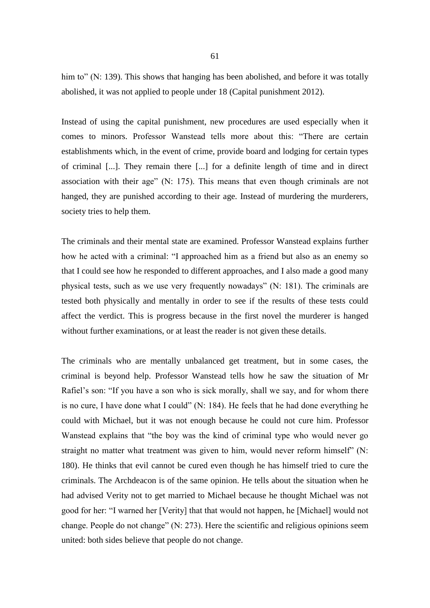him to" (N: 139). This shows that hanging has been abolished, and before it was totally abolished, it was not applied to people under 18 (Capital punishment 2012).

Instead of using the capital punishment, new procedures are used especially when it comes to minors. Professor Wanstead tells more about this: "There are certain establishments which, in the event of crime, provide board and lodging for certain types of criminal [...]. They remain there [...] for a definite length of time and in direct association with their age" (N: 175). This means that even though criminals are not hanged, they are punished according to their age. Instead of murdering the murderers, society tries to help them.

The criminals and their mental state are examined. Professor Wanstead explains further how he acted with a criminal: "I approached him as a friend but also as an enemy so that I could see how he responded to different approaches, and I also made a good many physical tests, such as we use very frequently nowadays" (N: 181). The criminals are tested both physically and mentally in order to see if the results of these tests could affect the verdict. This is progress because in the first novel the murderer is hanged without further examinations, or at least the reader is not given these details.

The criminals who are mentally unbalanced get treatment, but in some cases, the criminal is beyond help. Professor Wanstead tells how he saw the situation of Mr Rafiel's son: "If you have a son who is sick morally, shall we say, and for whom there is no cure, I have done what I could" (N: 184). He feels that he had done everything he could with Michael, but it was not enough because he could not cure him. Professor Wanstead explains that "the boy was the kind of criminal type who would never go straight no matter what treatment was given to him, would never reform himself" (N: 180). He thinks that evil cannot be cured even though he has himself tried to cure the criminals. The Archdeacon is of the same opinion. He tells about the situation when he had advised Verity not to get married to Michael because he thought Michael was not good for her: "I warned her [Verity] that that would not happen, he [Michael] would not change. People do not change" (N: 273). Here the scientific and religious opinions seem united: both sides believe that people do not change.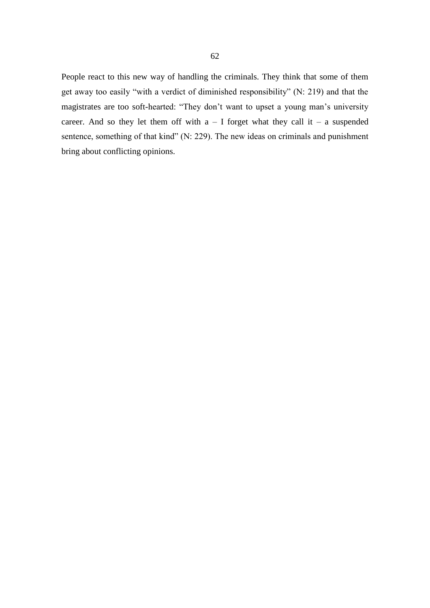People react to this new way of handling the criminals. They think that some of them get away too easily "with a verdict of diminished responsibility" (N: 219) and that the magistrates are too soft-hearted: "They don't want to upset a young man's university career. And so they let them off with  $a - I$  forget what they call it – a suspended sentence, something of that kind" (N: 229). The new ideas on criminals and punishment bring about conflicting opinions.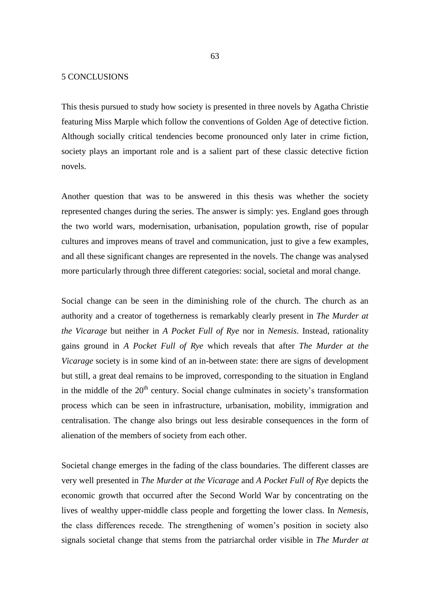#### 5 CONCLUSIONS

This thesis pursued to study how society is presented in three novels by Agatha Christie featuring Miss Marple which follow the conventions of Golden Age of detective fiction. Although socially critical tendencies become pronounced only later in crime fiction, society plays an important role and is a salient part of these classic detective fiction novels.

Another question that was to be answered in this thesis was whether the society represented changes during the series. The answer is simply: yes. England goes through the two world wars, modernisation, urbanisation, population growth, rise of popular cultures and improves means of travel and communication, just to give a few examples, and all these significant changes are represented in the novels. The change was analysed more particularly through three different categories: social, societal and moral change.

Social change can be seen in the diminishing role of the church. The church as an authority and a creator of togetherness is remarkably clearly present in *The Murder at the Vicarage* but neither in *A Pocket Full of Rye* nor in *Nemesis*. Instead, rationality gains ground in *A Pocket Full of Rye* which reveals that after *The Murder at the Vicarage* society is in some kind of an in-between state: there are signs of development but still, a great deal remains to be improved, corresponding to the situation in England in the middle of the  $20<sup>th</sup>$  century. Social change culminates in society's transformation process which can be seen in infrastructure, urbanisation, mobility, immigration and centralisation. The change also brings out less desirable consequences in the form of alienation of the members of society from each other.

Societal change emerges in the fading of the class boundaries. The different classes are very well presented in *The Murder at the Vicarage* and *A Pocket Full of Rye* depicts the economic growth that occurred after the Second World War by concentrating on the lives of wealthy upper-middle class people and forgetting the lower class. In *Nemesis*, the class differences recede. The strengthening of women's position in society also signals societal change that stems from the patriarchal order visible in *The Murder at*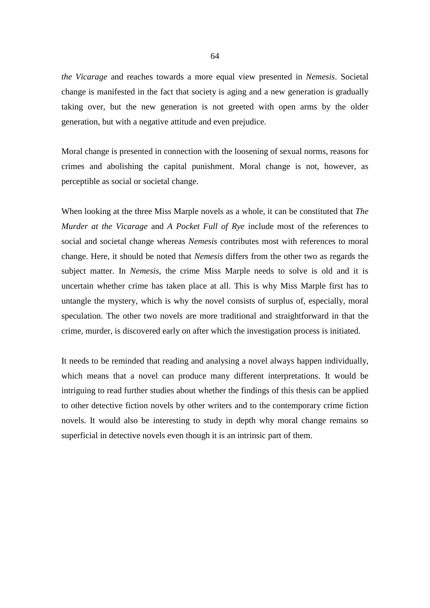*the Vicarage* and reaches towards a more equal view presented in *Nemesis*. Societal change is manifested in the fact that society is aging and a new generation is gradually taking over, but the new generation is not greeted with open arms by the older generation, but with a negative attitude and even prejudice.

Moral change is presented in connection with the loosening of sexual norms, reasons for crimes and abolishing the capital punishment. Moral change is not, however, as perceptible as social or societal change.

When looking at the three Miss Marple novels as a whole, it can be constituted that *The Murder at the Vicarage* and *A Pocket Full of Rye* include most of the references to social and societal change whereas *Nemesis* contributes most with references to moral change. Here, it should be noted that *Nemesis* differs from the other two as regards the subject matter. In *Nemesis*, the crime Miss Marple needs to solve is old and it is uncertain whether crime has taken place at all. This is why Miss Marple first has to untangle the mystery, which is why the novel consists of surplus of, especially, moral speculation. The other two novels are more traditional and straightforward in that the crime, murder, is discovered early on after which the investigation process is initiated.

It needs to be reminded that reading and analysing a novel always happen individually, which means that a novel can produce many different interpretations. It would be intriguing to read further studies about whether the findings of this thesis can be applied to other detective fiction novels by other writers and to the contemporary crime fiction novels. It would also be interesting to study in depth why moral change remains so superficial in detective novels even though it is an intrinsic part of them.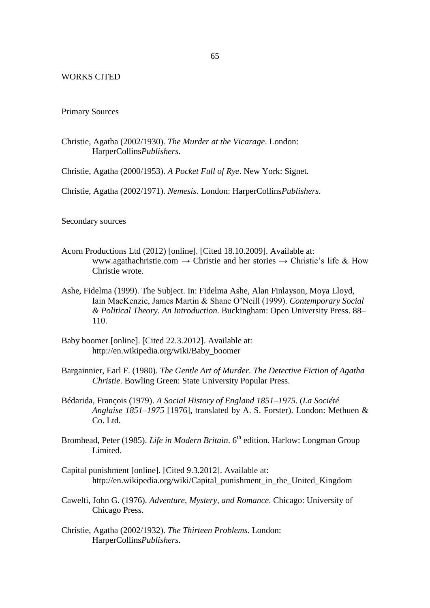# WORKS CITED

## Primary Sources

- Christie, Agatha (2002/1930). *The Murder at the Vicarage*. London: HarperCollins*Publishers*.
- Christie, Agatha (2000/1953). *A Pocket Full of Rye*. New York: Signet.
- Christie, Agatha (2002/1971). *Nemesis*. London: HarperCollins*Publishers*.

Secondary sources

- Acorn Productions Ltd (2012) [online]. [Cited 18.10.2009]. Available at: [www.agathachristie.com](http://www.agathachristie.com/)  $\rightarrow$  Christie and her stories  $\rightarrow$  Christie's life & How Christie wrote.
- Ashe, Fidelma (1999). The Subject. In: Fidelma Ashe, Alan Finlayson, Moya Lloyd, Iain MacKenzie, James Martin & Shane O'Neill (1999). *Contemporary Social & Political Theory. An Introduction*. Buckingham: Open University Press. 88– 110.
- Baby boomer [online]. [Cited 22.3.2012]. Available at: [http://en.wikipedia.org/wiki/Baby\\_boomer](http://en.wikipedia.org/wiki/Baby_boomer)
- Bargainnier, Earl F. (1980). *The Gentle Art of Murder. The Detective Fiction of Agatha Christie*. Bowling Green: State University Popular Press.
- Bédarida, François (1979). *A Social History of England 1851–1975*. (*La Société Anglaise 1851–1975* [1976], translated by A. S. Forster). London: Methuen & Co. Ltd.
- Bromhead, Peter (1985). *Life in Modern Britain*. 6<sup>th</sup> edition. Harlow: Longman Group Limited.
- Capital punishment [online]. [Cited 9.3.2012]. Available at: [http://en.wikipedia.org/wiki/Capital\\_punishment\\_in\\_the\\_United\\_Kingdom](http://en.wikipedia.org/wiki/Capital_punishment_in_the_United_Kingdom)
- Cawelti, John G. (1976). *Adventure, Mystery, and Romance*. Chicago: University of Chicago Press.
- Christie, Agatha (2002/1932). *The Thirteen Problems*. London: HarperCollins*Publishers*.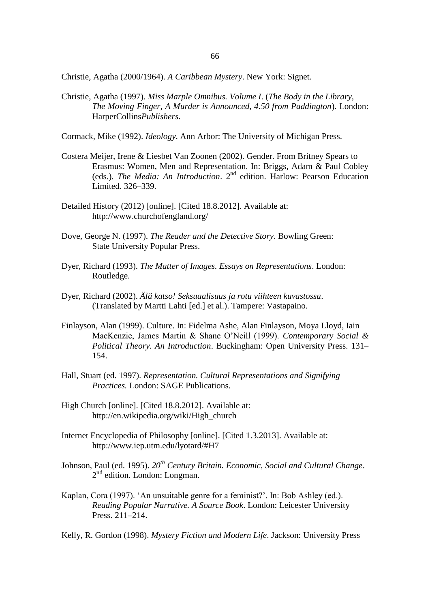Christie, Agatha (2000/1964). *A Caribbean Mystery*. New York: Signet.

Christie, Agatha (1997). *Miss Marple Omnibus. Volume I*. (*The Body in the Library, The Moving Finger, A Murder is Announced, 4.50 from Paddington*). London: HarperCollins*Publishers*.

Cormack, Mike (1992). *Ideology*. Ann Arbor: The University of Michigan Press.

- Costera Meijer, Irene & Liesbet Van Zoonen (2002). Gender. From Britney Spears to Erasmus: Women, Men and Representation. In: Briggs, Adam & Paul Cobley (eds.). The Media: An Introduction. 2<sup>nd</sup> edition. Harlow: Pearson Education Limited. 326–339.
- Detailed History (2012) [online]. [Cited 18.8.2012]. Available at: <http://www.churchofengland.org/>
- Dove, George N. (1997). *The Reader and the Detective Story*. Bowling Green: State University Popular Press.
- Dyer, Richard (1993). *The Matter of Images. Essays on Representations*. London: Routledge.
- Dyer, Richard (2002). *Älä katso! Seksuaalisuus ja rotu viihteen kuvastossa*. (Translated by Martti Lahti [ed.] et al.). Tampere: Vastapaino.
- Finlayson, Alan (1999). Culture. In: Fidelma Ashe, Alan Finlayson, Moya Lloyd, Iain MacKenzie, James Martin & Shane O'Neill (1999). *Contemporary Social & Political Theory. An Introduction*. Buckingham: Open University Press. 131– 154.
- Hall, Stuart (ed. 1997). *Representation. Cultural Representations and Signifying Practices.* London: SAGE Publications.
- High Church [online]. [Cited 18.8.2012]. Available at: [http://en.wikipedia.org/wiki/High\\_church](http://en.wikipedia.org/wiki/High_church)
- Internet Encyclopedia of Philosophy [online]. [Cited 1.3.2013]. Available at: http://www.iep.utm.edu/lyotard/#H7
- Johnson, Paul (ed. 1995). *20th Century Britain. Economic, Social and Cultural Change*. 2<sup>nd</sup> edition. London: Longman.
- Kaplan, Cora (1997). 'An unsuitable genre for a feminist?'. In: Bob Ashley (ed.). *Reading Popular Narrative. A Source Book*. London: Leicester University Press. 211–214.
- Kelly, R. Gordon (1998). *Mystery Fiction and Modern Life*. Jackson: University Press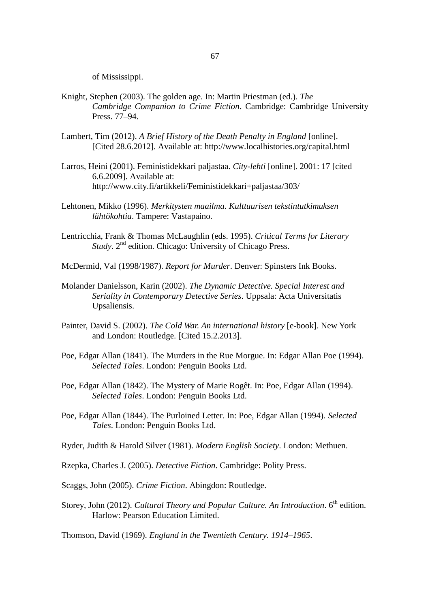of Mississippi.

- Knight, Stephen (2003). The golden age. In: Martin Priestman (ed.). *The Cambridge Companion to Crime Fiction*. Cambridge: Cambridge University Press. 77–94.
- Lambert, Tim (2012). *A Brief History of the Death Penalty in England* [online]. [Cited 28.6.2012]. Available at: http://www.localhistories.org/capital.html
- Larros, Heini (2001). Feministidekkari paljastaa. *City-lehti* [online]. 2001: 17 [cited 6.6.2009]. Available at: <http://www.city.fi/artikkeli/Feministidekkari+paljastaa/303/>
- Lehtonen, Mikko (1996). *Merkitysten maailma. Kulttuurisen tekstintutkimuksen lähtökohtia*. Tampere: Vastapaino.
- Lentricchia, Frank & Thomas McLaughlin (eds. 1995). *Critical Terms for Literary*  Study. 2<sup>nd</sup> edition. Chicago: University of Chicago Press.
- McDermid, Val (1998/1987). *Report for Murder*. Denver: Spinsters Ink Books.
- Molander Danielsson, Karin (2002). *The Dynamic Detective. Special Interest and Seriality in Contemporary Detective Series*. Uppsala: Acta Universitatis Upsaliensis.
- Painter, David S. (2002). *The Cold War. An international history* [e-book]. New York and London: Routledge. [Cited 15.2.2013].
- Poe, Edgar Allan (1841). The Murders in the Rue Morgue. In: Edgar Allan Poe (1994). *Selected Tales*. London: Penguin Books Ltd.
- Poe, Edgar Allan (1842). The Mystery of Marie Rogêt. In: Poe, Edgar Allan (1994). *Selected Tales*. London: Penguin Books Ltd.
- Poe, Edgar Allan (1844). The Purloined Letter. In: Poe, Edgar Allan (1994). *Selected Tales*. London: Penguin Books Ltd.
- Ryder, Judith & Harold Silver (1981). *Modern English Society*. London: Methuen.
- Rzepka, Charles J. (2005). *Detective Fiction*. Cambridge: Polity Press.
- Scaggs, John (2005). *Crime Fiction*. Abingdon: Routledge.
- Storey, John (2012). *Cultural Theory and Popular Culture. An Introduction*. 6<sup>th</sup> edition. Harlow: Pearson Education Limited.

Thomson, David (1969). *England in the Twentieth Century. 1914–1965*.